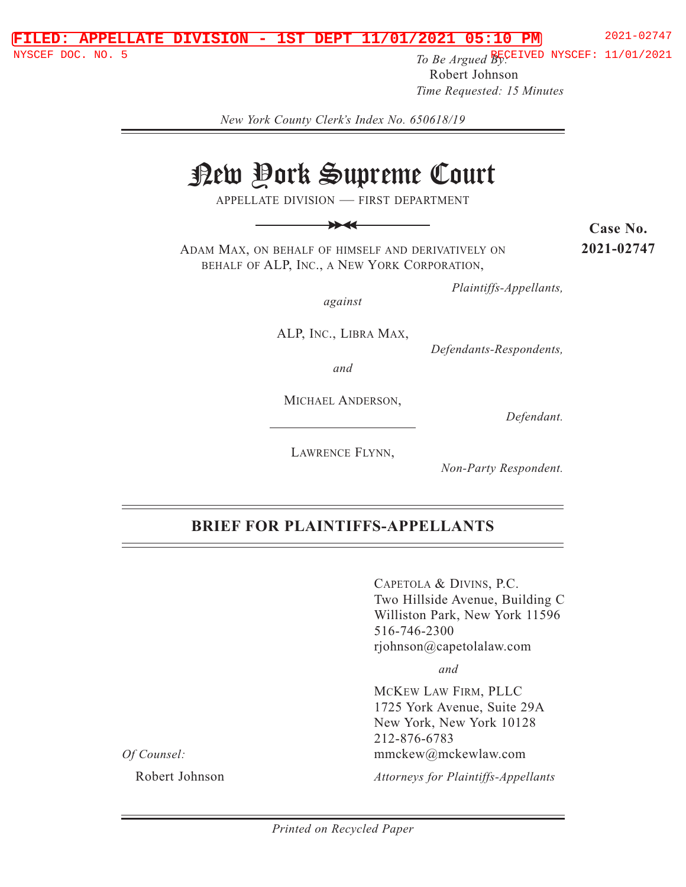#### **FILED: APPELLATE DIVISION - 1ST DEPT 11/01/2021 05:10 PM** 2021-02747

**NYSCEF DOC. NO. 5 The Secure 2 REPORT SECT ASSESS To Be Argued By:** The MYSCEF: 11/01/2021 Robert Johnson *Time Requested: 15 Minutes*

*New York County Clerk's Index No. 650618/19* 

# New York Supreme Court

APPELLATE DIVISION — FIRST DEPARTMENT

>> >>

ADAM MAX, ON BEHALF OF HIMSELF AND DERIVATIVELY ON BEHALF OF ALP, INC., A NEW YORK CORPORATION,

**Case No. 2021-02747**

*Plaintiffs-Appellants,* 

*against* 

ALP, INC., LIBRA MAX,

*Defendants-Respondents,* 

*and* 

MICHAEL ANDERSON,

*Defendant.* 

LAWRENCE FLYNN,

*Non-Party Respondent.* 

# **BRIEF FOR PLAINTIFFS-APPELLANTS**

CAPETOLA & DIVINS, P.C. Two Hillside Avenue, Building C Williston Park, New York 11596 516-746-2300 rjohnson@capetolalaw.com

 *and*

MCKEW LAW FIRM, PLLC 1725 York Avenue, Suite 29A New York, New York 10128 212-876-6783 mmckew@mckewlaw.com

*Of Counsel:* 

Robert Johnson

*Attorneys for Plaintiffs-Appellants*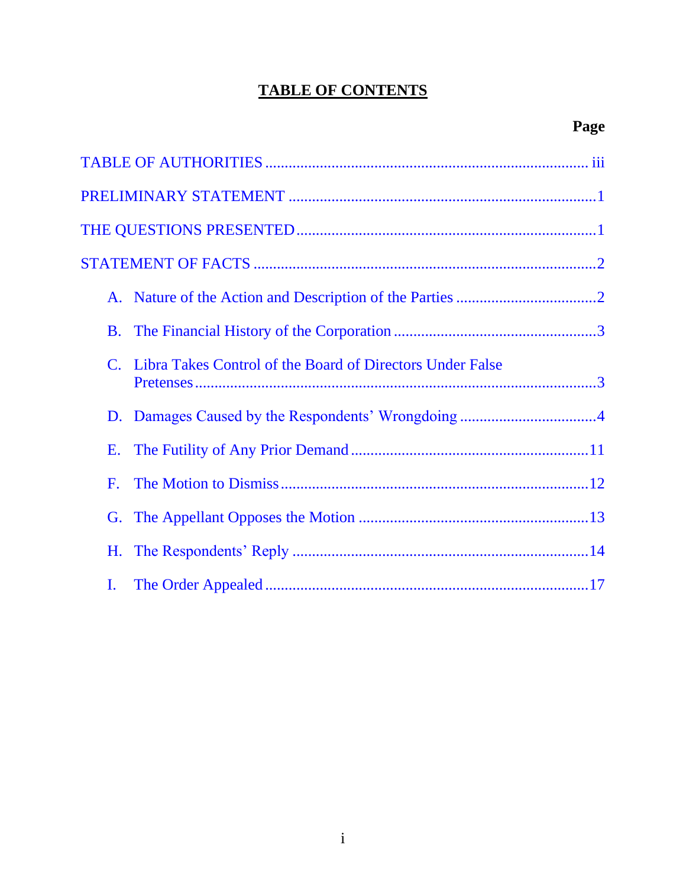# **TABLE OF CONTENTS**

|                | Libra Takes Control of the Board of Directors Under False |  |
|----------------|-----------------------------------------------------------|--|
|                | D. Damages Caused by the Respondents' Wrongdoing4         |  |
| E.             |                                                           |  |
| $\mathbf{F}$ . |                                                           |  |
|                |                                                           |  |
| H.             |                                                           |  |
| $\mathbf{I}$ . |                                                           |  |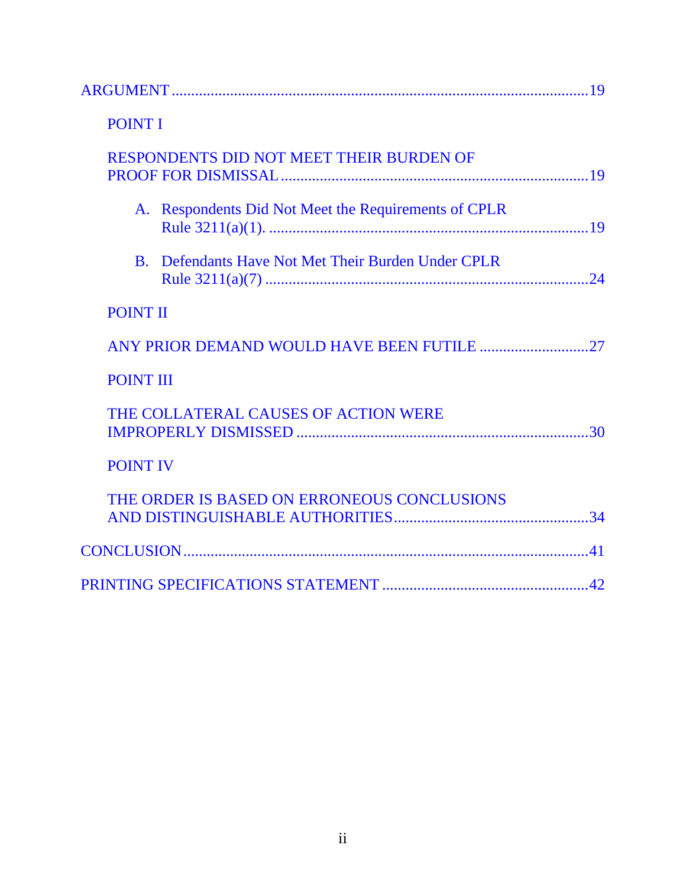| <b>POINT I</b>                                       |  |
|------------------------------------------------------|--|
| RESPONDENTS DID NOT MEET THEIR BURDEN OF             |  |
| A. Respondents Did Not Meet the Requirements of CPLR |  |
| B. Defendants Have Not Met Their Burden Under CPLR   |  |
| <b>POINT II</b>                                      |  |
| ANY PRIOR DEMAND WOULD HAVE BEEN FUTILE 27           |  |
| <b>POINT III</b>                                     |  |
| THE COLLATERAL CAUSES OF ACTION WERE                 |  |
| <b>POINT IV</b>                                      |  |
| THE ORDER IS BASED ON ERRONEOUS CONCLUSIONS          |  |
|                                                      |  |
|                                                      |  |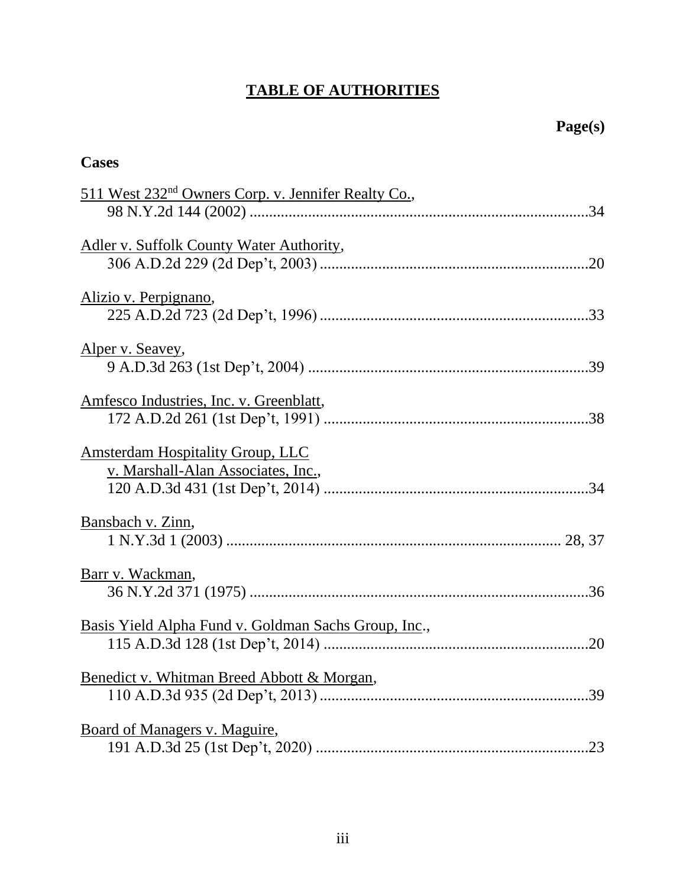# **TABLE OF AUTHORITIES**

<span id="page-3-0"></span>

| <b>Cases</b>                                                                  |  |  |
|-------------------------------------------------------------------------------|--|--|
| 511 West 232 <sup>nd</sup> Owners Corp. v. Jennifer Realty Co.,               |  |  |
| Adler v. Suffolk County Water Authority,                                      |  |  |
| <u>Alizio v. Perpignano,</u>                                                  |  |  |
| Alper v. Seavey,                                                              |  |  |
| Amfesco Industries, Inc. v. Greenblatt,                                       |  |  |
| <b>Amsterdam Hospitality Group, LLC</b><br>v. Marshall-Alan Associates, Inc., |  |  |
| Bansbach v. Zinn,                                                             |  |  |
| Barr v. Wackman,                                                              |  |  |
| Basis Yield Alpha Fund v. Goldman Sachs Group, Inc.,                          |  |  |
| Benedict v. Whitman Breed Abbott & Morgan,<br>.39                             |  |  |
| Board of Managers v. Maguire,<br>.23                                          |  |  |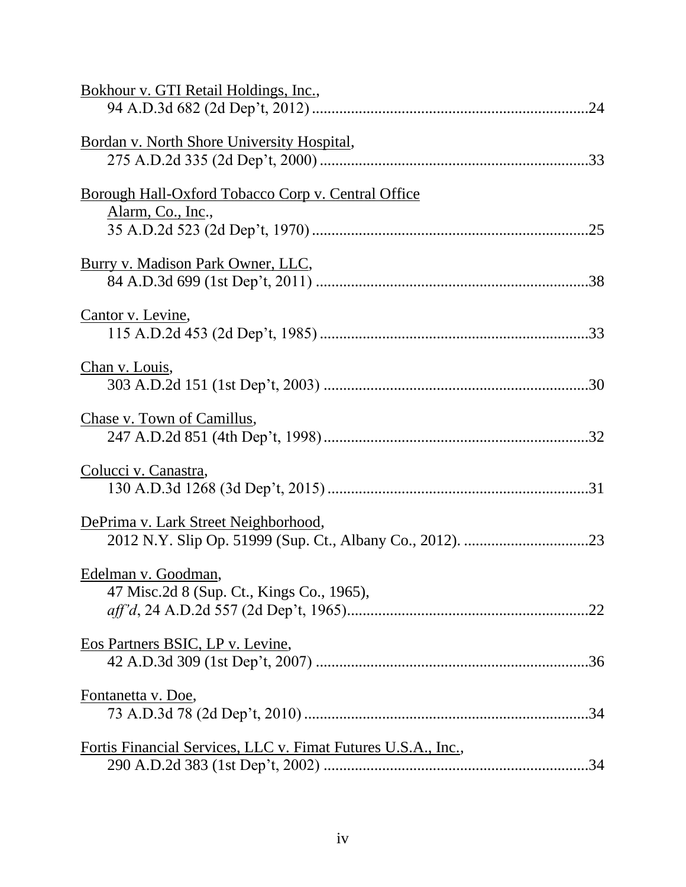| Bokhour v. GTI Retail Holdings, Inc.,                                   |  |
|-------------------------------------------------------------------------|--|
| Bordan v. North Shore University Hospital,                              |  |
| Borough Hall-Oxford Tobacco Corp v. Central Office<br>Alarm, Co., Inc., |  |
| Burry v. Madison Park Owner, LLC,                                       |  |
| Cantor v. Levine,                                                       |  |
| Chan v. Louis,                                                          |  |
| Chase v. Town of Camillus,                                              |  |
| Colucci v. Canastra,                                                    |  |
| DePrima v. Lark Street Neighborhood,                                    |  |
| Edelman v. Goodman,<br>47 Misc.2d 8 (Sup. Ct., Kings Co., 1965),        |  |
| Eos Partners BSIC, LP v. Levine,                                        |  |
| Fontanetta v. Doe,                                                      |  |
| <u>Fortis Financial Services, LLC v. Fimat Futures U.S.A., Inc.,</u>    |  |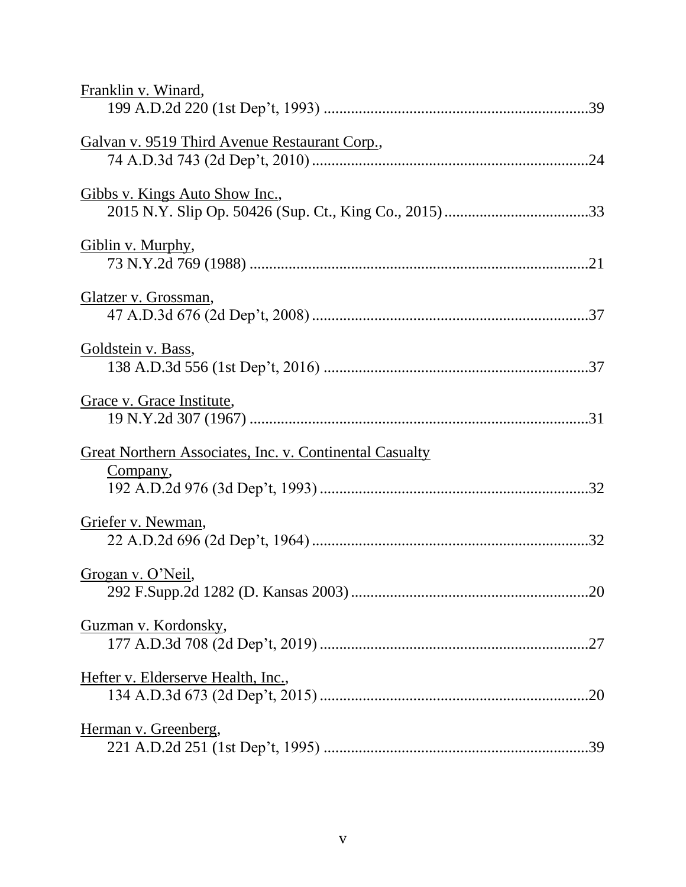| Franklin v. Winard,                                                        |
|----------------------------------------------------------------------------|
| Galvan v. 9519 Third Avenue Restaurant Corp.,                              |
| Gibbs v. Kings Auto Show Inc.,                                             |
| Giblin v. Murphy,                                                          |
| Glatzer v. Grossman,                                                       |
| Goldstein v. Bass,                                                         |
| Grace v. Grace Institute,                                                  |
| <b>Great Northern Associates, Inc. v. Continental Casualty</b><br>Company, |
| Griefer v. Newman,                                                         |
| Grogan v. O'Neil,                                                          |
| Guzman v. Kordonsky,                                                       |
| Hefter v. Elderserve Health, Inc.,                                         |
| Herman v. Greenberg,                                                       |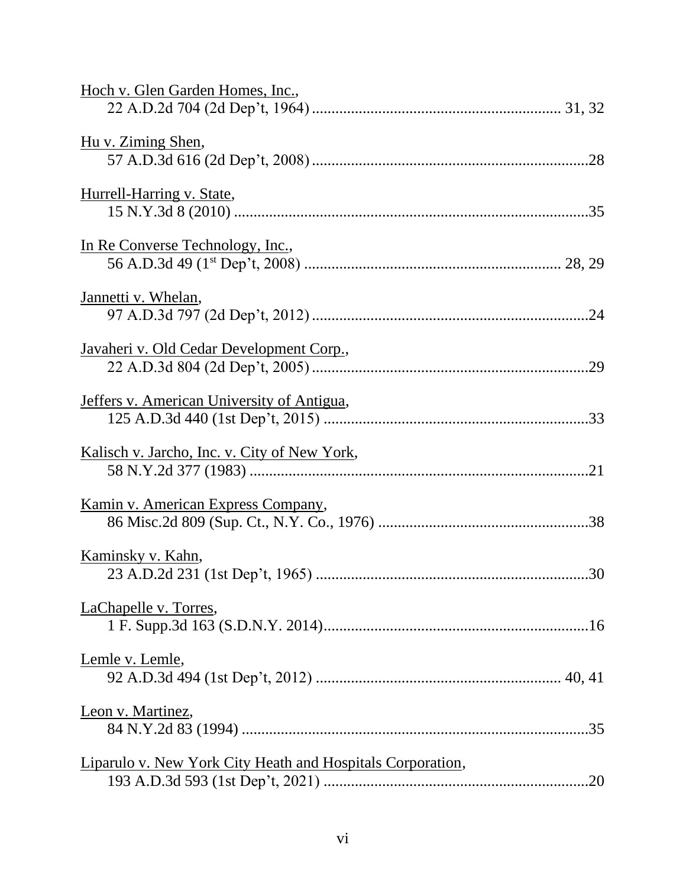| Hoch v. Glen Garden Homes, Inc.,                           |
|------------------------------------------------------------|
| Hu v. Ziming Shen,                                         |
| Hurrell-Harring v. State,                                  |
| In Re Converse Technology, Inc.,                           |
| Jannetti v. Whelan,                                        |
| Javaheri v. Old Cedar Development Corp.,                   |
| Jeffers v. American University of Antigua,                 |
| Kalisch v. Jarcho, Inc. v. City of New York,               |
| Kamin v. American Express Company,                         |
| Kaminsky v. Kahn,                                          |
| LaChapelle v. Torres,                                      |
| Lemle v. Lemle,                                            |
| Leon v. Martinez,                                          |
| Liparulo v. New York City Heath and Hospitals Corporation, |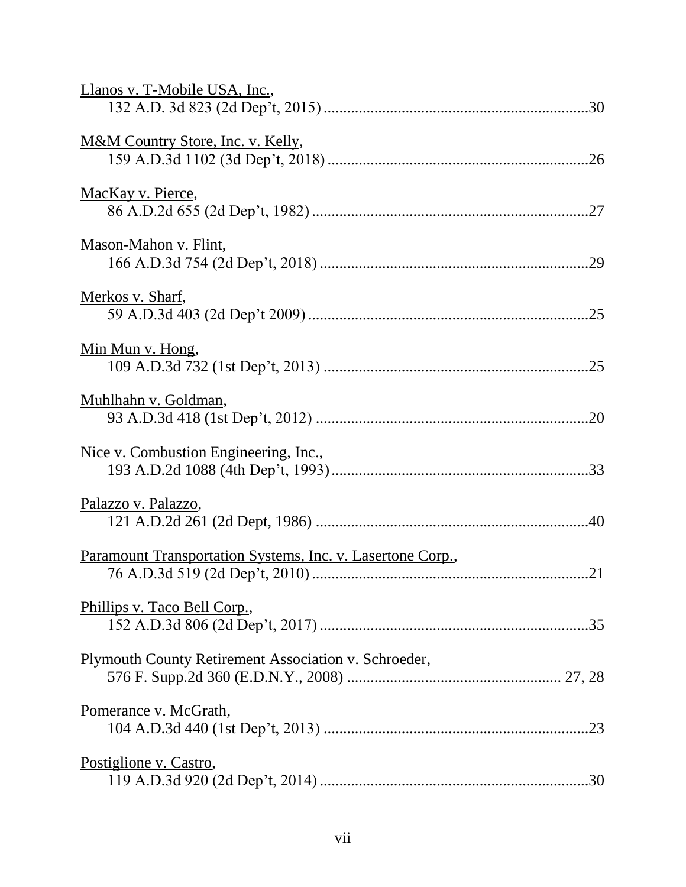| Llanos v. T-Mobile USA, Inc.,                              |
|------------------------------------------------------------|
| M&M Country Store, Inc. v. Kelly,                          |
| MacKay v. Pierce,                                          |
| Mason-Mahon v. Flint,                                      |
| <u>Merkos v. Sharf,</u>                                    |
| <u>Min Mun v. Hong,</u>                                    |
| Muhlhahn v. Goldman,                                       |
| Nice v. Combustion Engineering, Inc.,                      |
| Palazzo v. Palazzo,                                        |
| Paramount Transportation Systems, Inc. v. Lasertone Corp., |
| Phillips v. Taco Bell Corp.,                               |
| Plymouth County Retirement Association v. Schroeder,       |
| Pomerance v. McGrath,                                      |
| Postiglione v. Castro,<br>.30                              |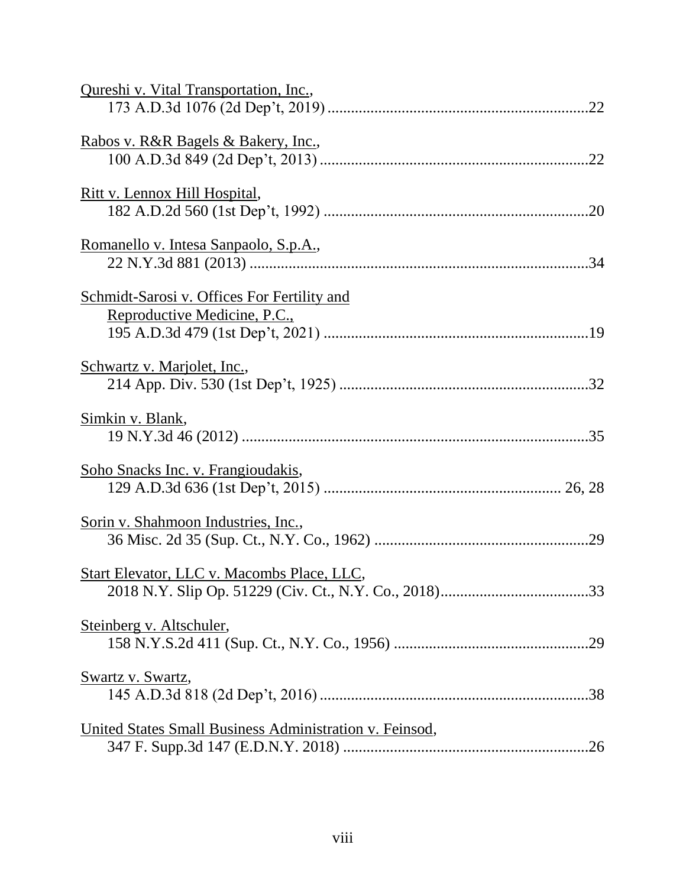| Qureshi v. Vital Transportation, Inc.,                                      |
|-----------------------------------------------------------------------------|
| <u>Rabos v. R&amp;R Bagels &amp; Bakery, Inc.,</u>                          |
| <u>Ritt v. Lennox Hill Hospital,</u>                                        |
| Romanello v. Intesa Sanpaolo, S.p.A.,                                       |
| Schmidt-Sarosi v. Offices For Fertility and<br>Reproductive Medicine, P.C., |
| Schwartz v. Marjolet, Inc.,                                                 |
| Simkin v. Blank,                                                            |
| <u>Soho Snacks Inc. v. Frangioudakis,</u>                                   |
| Sorin v. Shahmoon Industries, Inc.,                                         |
| <b>Start Elevator, LLC v. Macombs Place, LLC,</b>                           |
| Steinberg v. Altschuler,                                                    |
| Swartz v. Swartz,                                                           |
| United States Small Business Administration v. Feinsod,                     |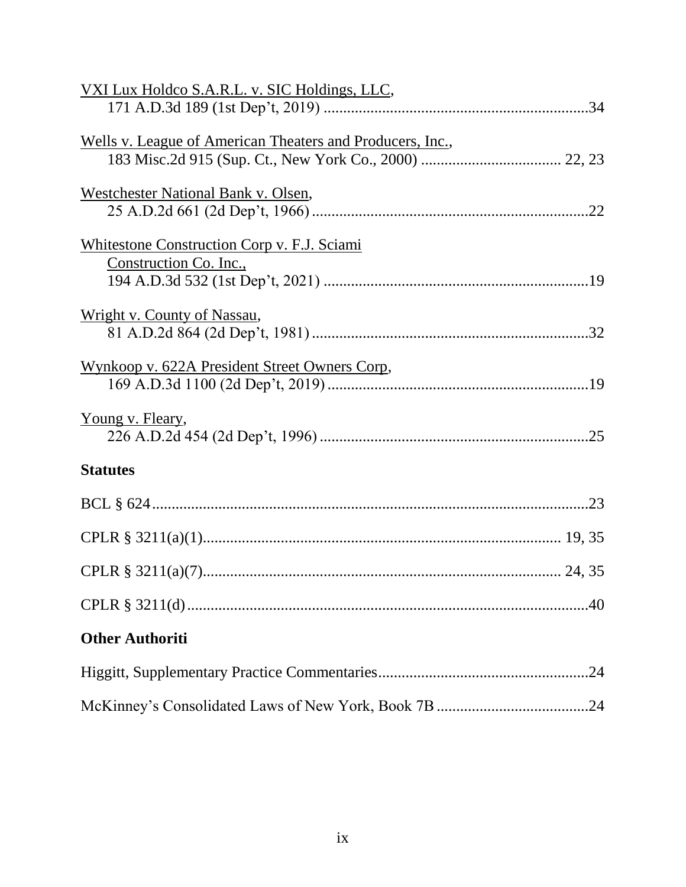| <u>VXI Lux Holdco S.A.R.L. v. SIC Holdings, LLC,</u>              |  |
|-------------------------------------------------------------------|--|
|                                                                   |  |
| <u>Wells v. League of American Theaters and Producers, Inc.</u> , |  |
|                                                                   |  |
| Westchester National Bank v. Olsen,                               |  |
|                                                                   |  |
| <b>Whitestone Construction Corp v. F.J. Sciami</b>                |  |
| Construction Co. Inc.,                                            |  |
|                                                                   |  |
| Wright v. County of Nassau,                                       |  |
|                                                                   |  |
| Wynkoop v. 622A President Street Owners Corp,                     |  |
|                                                                   |  |
| <u>Young v. Fleary,</u>                                           |  |
|                                                                   |  |
| <b>Statutes</b>                                                   |  |
|                                                                   |  |
|                                                                   |  |
|                                                                   |  |
|                                                                   |  |
| <b>Other Authoriti</b>                                            |  |
|                                                                   |  |
|                                                                   |  |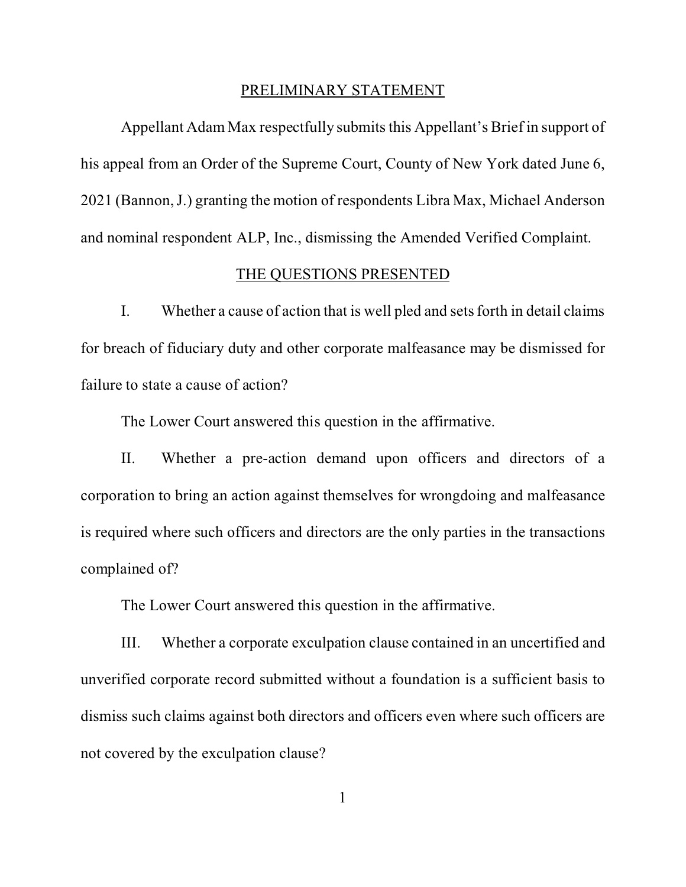#### PRELIMINARY STATEMENT

<span id="page-10-0"></span>Appellant Adam Max respectfully submits this Appellant's Brief in support of his appeal from an Order of the Supreme Court, County of New York dated June 6, 2021 (Bannon, J.) granting the motion of respondents Libra Max, Michael Anderson and nominal respondent ALP, Inc., dismissing the Amended Verified Complaint.

#### THE QUESTIONS PRESENTED

I. Whether a cause of action that is well pled and sets forth in detail claims for breach of fiduciary duty and other corporate malfeasance may be dismissed for failure to state a cause of action?

The Lower Court answered this question in the affirmative.

II. Whether a pre-action demand upon officers and directors of a corporation to bring an action against themselves for wrongdoing and malfeasance is required where such officers and directors are the only parties in the transactions complained of?

The Lower Court answered this question in the affirmative.

III. Whether a corporate exculpation clause contained in an uncertified and unverified corporate record submitted without a foundation is a sufficient basis to dismiss such claims against both directors and officers even where such officers are not covered by the exculpation clause?

1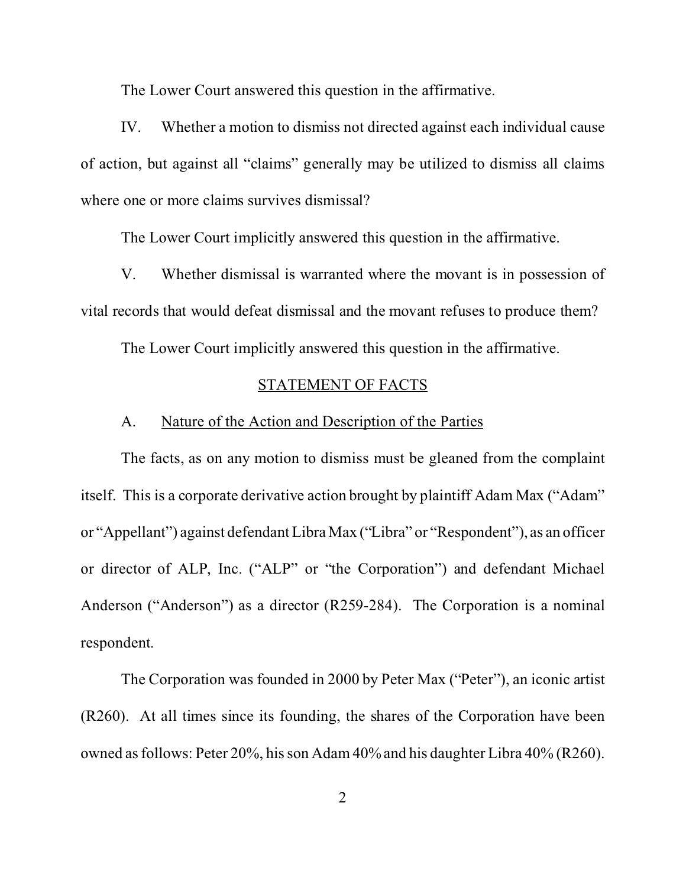The Lower Court answered this question in the affirmative.

<span id="page-11-0"></span>IV. Whether a motion to dismiss not directed against each individual cause of action, but against all "claims" generally may be utilized to dismiss all claims where one or more claims survives dismissal?

The Lower Court implicitly answered this question in the affirmative.

V. Whether dismissal is warranted where the movant is in possession of vital records that would defeat dismissal and the movant refuses to produce them?

The Lower Court implicitly answered this question in the affirmative.

#### STATEMENT OF FACTS

# A. Nature of the Action and Description of the Parties

The facts, as on any motion to dismiss must be gleaned from the complaint itself. This is a corporate derivative action brought by plaintiff Adam Max ("Adam" or "Appellant") against defendant Libra Max ("Libra" or "Respondent"), as an officer or director of ALP, Inc. ("ALP" or "the Corporation") and defendant Michael Anderson ("Anderson") as a director (R259-284). The Corporation is a nominal respondent.

The Corporation was founded in 2000 by Peter Max ("Peter"), an iconic artist (R260). At all times since its founding, the shares of the Corporation have been owned as follows: Peter 20%, his son Adam 40% and his daughter Libra 40% (R260).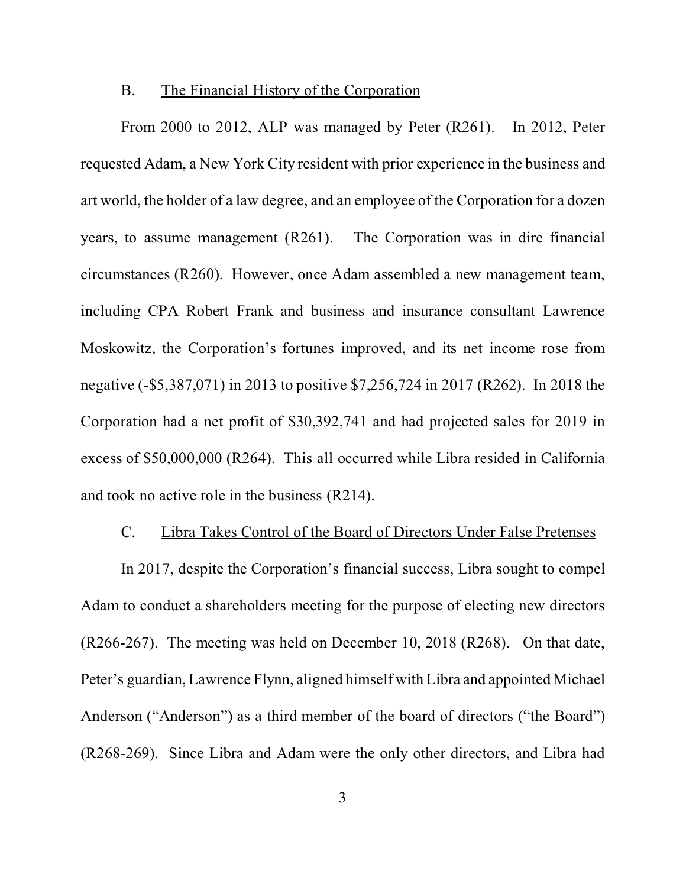#### B. The Financial History of the Corporation

<span id="page-12-0"></span>From 2000 to 2012, ALP was managed by Peter (R261). In 2012, Peter requested Adam, a New York City resident with prior experience in the business and art world, the holder of a law degree, and an employee of the Corporation for a dozen years, to assume management (R261). The Corporation was in dire financial circumstances (R260). However, once Adam assembled a new management team, including CPA Robert Frank and business and insurance consultant Lawrence Moskowitz, the Corporation's fortunes improved, and its net income rose from negative (-\$5,387,071) in 2013 to positive \$7,256,724 in 2017 (R262). In 2018 the Corporation had a net profit of \$30,392,741 and had projected sales for 2019 in excess of \$50,000,000 (R264). This all occurred while Libra resided in California and took no active role in the business (R214).

# C. Libra Takes Control of the Board of Directors Under False Pretenses

In 2017, despite the Corporation's financial success, Libra sought to compel Adam to conduct a shareholders meeting for the purpose of electing new directors (R266-267). The meeting was held on December 10, 2018 (R268). On that date, Peter's guardian, Lawrence Flynn, aligned himself with Libra and appointed Michael Anderson ("Anderson") as a third member of the board of directors ("the Board") (R268-269). Since Libra and Adam were the only other directors, and Libra had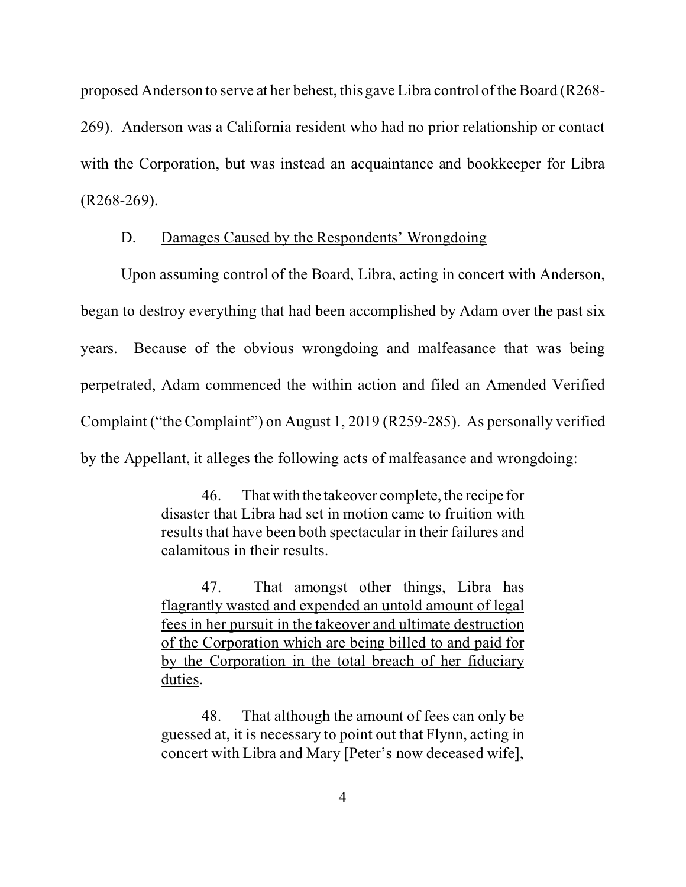<span id="page-13-0"></span>proposed Anderson to serve at her behest, this gave Libra control of the Board (R268-

269). Anderson was a California resident who had no prior relationship or contact with the Corporation, but was instead an acquaintance and bookkeeper for Libra (R268-269).

# D. Damages Caused by the Respondents' Wrongdoing

Upon assuming control of the Board, Libra, acting in concert with Anderson, began to destroy everything that had been accomplished by Adam over the past six years. Because of the obvious wrongdoing and malfeasance that was being perpetrated, Adam commenced the within action and filed an Amended Verified Complaint ("the Complaint") on August 1, 2019 (R259-285). As personally verified by the Appellant, it alleges the following acts of malfeasance and wrongdoing:

> 46. Thatwith the takeover complete, the recipe for disaster that Libra had set in motion came to fruition with results that have been both spectacular in their failures and calamitous in their results.

> 47. That amongst other things, Libra has flagrantly wasted and expended an untold amount of legal fees in her pursuit in the takeover and ultimate destruction of the Corporation which are being billed to and paid for by the Corporation in the total breach of her fiduciary duties.

> 48. That although the amount of fees can only be guessed at, it is necessary to point out that Flynn, acting in concert with Libra and Mary [Peter's now deceased wife],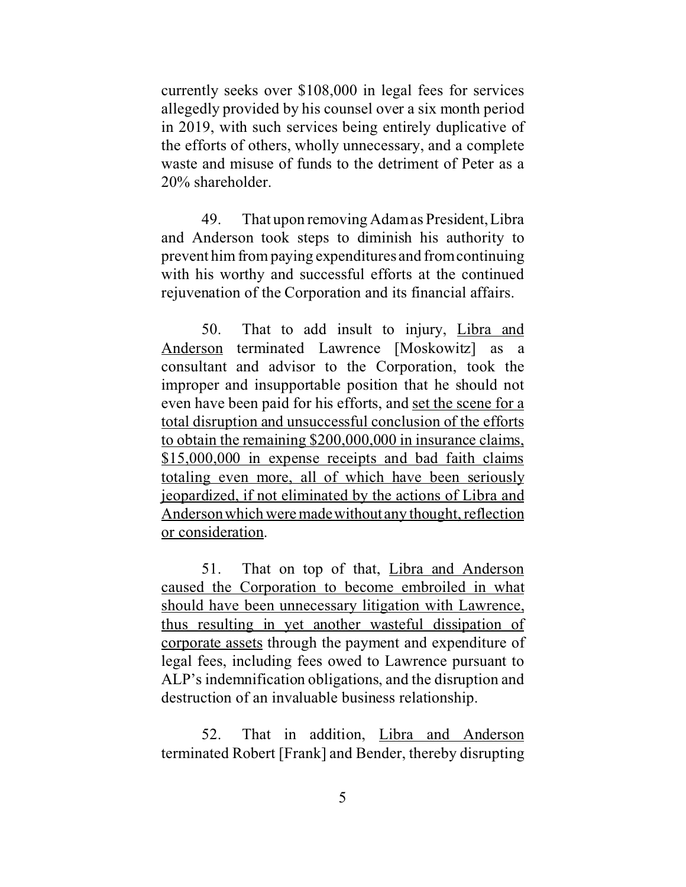currently seeks over \$108,000 in legal fees for services allegedly provided by his counsel over a six month period in 2019, with such services being entirely duplicative of the efforts of others, wholly unnecessary, and a complete waste and misuse of funds to the detriment of Peter as a 20% shareholder.

49. That upon removing Adam as President, Libra and Anderson took steps to diminish his authority to prevent him from paying expenditures and from continuing with his worthy and successful efforts at the continued rejuvenation of the Corporation and its financial affairs.

50. That to add insult to injury, Libra and Anderson terminated Lawrence [Moskowitz] as a consultant and advisor to the Corporation, took the improper and insupportable position that he should not even have been paid for his efforts, and set the scene for a total disruption and unsuccessful conclusion of the efforts to obtain the remaining \$200,000,000 in insurance claims, \$15,000,000 in expense receipts and bad faith claims totaling even more, all of which have been seriously jeopardized, if not eliminated by the actions of Libra and Anderson which were madewithout any thought, reflection or consideration.

51. That on top of that, Libra and Anderson caused the Corporation to become embroiled in what should have been unnecessary litigation with Lawrence, thus resulting in yet another wasteful dissipation of corporate assets through the payment and expenditure of legal fees, including fees owed to Lawrence pursuant to ALP's indemnification obligations, and the disruption and destruction of an invaluable business relationship.

52. That in addition, Libra and Anderson terminated Robert [Frank] and Bender, thereby disrupting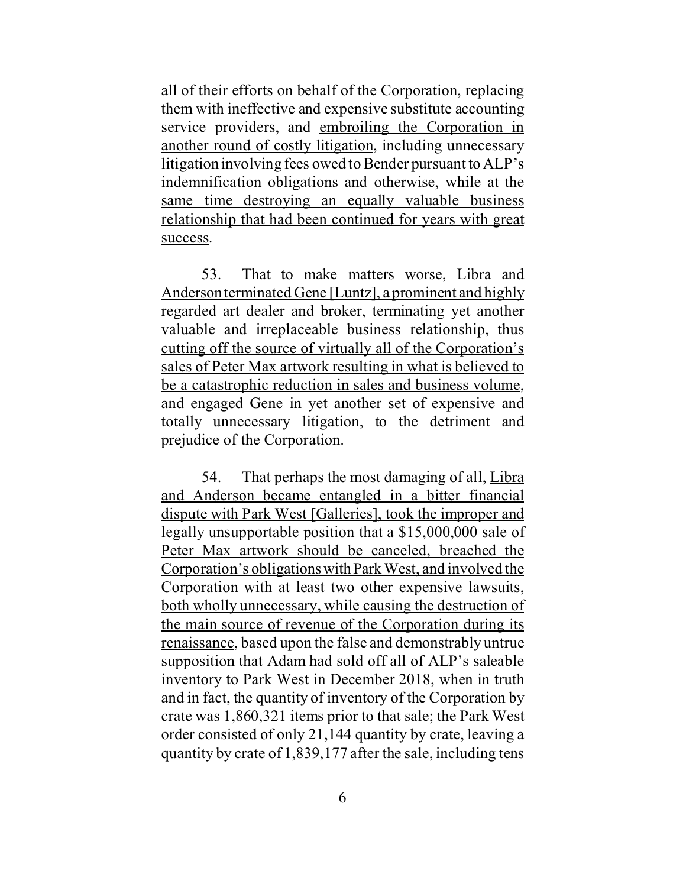all of their efforts on behalf of the Corporation, replacing them with ineffective and expensive substitute accounting service providers, and embroiling the Corporation in another round of costly litigation, including unnecessary litigation involving fees owed to Bender pursuant to ALP's indemnification obligations and otherwise, while at the same time destroying an equally valuable business relationship that had been continued for years with great success.

53. That to make matters worse, Libra and Anderson terminated Gene [Luntz], a prominent and highly regarded art dealer and broker, terminating yet another valuable and irreplaceable business relationship, thus cutting off the source of virtually all of the Corporation's sales of Peter Max artwork resulting in what is believed to be a catastrophic reduction in sales and business volume, and engaged Gene in yet another set of expensive and totally unnecessary litigation, to the detriment and prejudice of the Corporation.

54. That perhaps the most damaging of all, Libra and Anderson became entangled in a bitter financial dispute with Park West [Galleries], took the improper and legally unsupportable position that a \$15,000,000 sale of Peter Max artwork should be canceled, breached the Corporation's obligationswithParkWest, and involved the Corporation with at least two other expensive lawsuits, both wholly unnecessary, while causing the destruction of the main source of revenue of the Corporation during its renaissance, based upon the false and demonstrably untrue supposition that Adam had sold off all of ALP's saleable inventory to Park West in December 2018, when in truth and in fact, the quantity of inventory of the Corporation by crate was 1,860,321 items prior to that sale; the Park West order consisted of only 21,144 quantity by crate, leaving a quantity by crate of 1,839,177 after the sale, including tens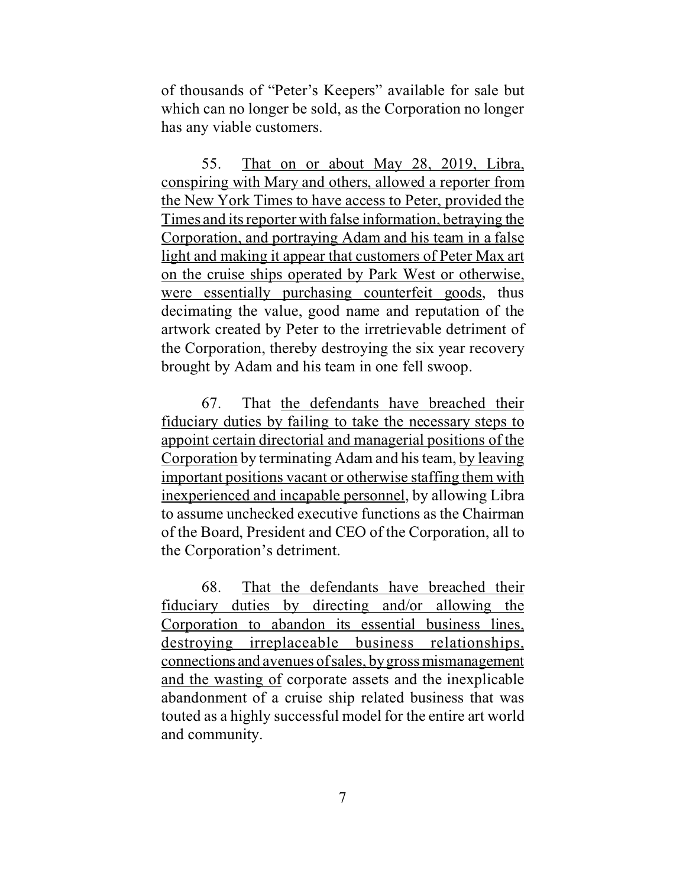of thousands of "Peter's Keepers" available for sale but which can no longer be sold, as the Corporation no longer has any viable customers.

55. That on or about May 28, 2019, Libra, conspiring with Mary and others, allowed a reporter from the New York Times to have access to Peter, provided the Times and its reporter with false information, betraying the Corporation, and portraying Adam and his team in a false light and making it appear that customers of Peter Max art on the cruise ships operated by Park West or otherwise, were essentially purchasing counterfeit goods, thus decimating the value, good name and reputation of the artwork created by Peter to the irretrievable detriment of the Corporation, thereby destroying the six year recovery brought by Adam and his team in one fell swoop.

67. That the defendants have breached their fiduciary duties by failing to take the necessary steps to appoint certain directorial and managerial positions of the Corporation by terminating Adam and his team, by leaving important positions vacant or otherwise staffing them with inexperienced and incapable personnel, by allowing Libra to assume unchecked executive functions as the Chairman of the Board, President and CEO of the Corporation, all to the Corporation's detriment.

68. That the defendants have breached their fiduciary duties by directing and/or allowing the Corporation to abandon its essential business lines, destroying irreplaceable business relationships, connections and avenues of sales, by gross mismanagement and the wasting of corporate assets and the inexplicable abandonment of a cruise ship related business that was touted as a highly successful model for the entire art world and community.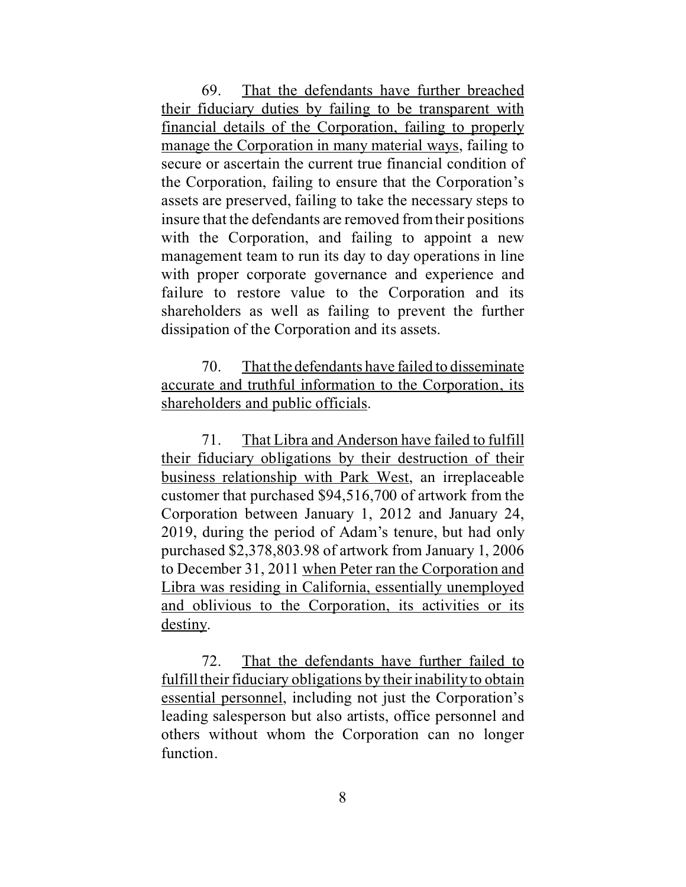69. That the defendants have further breached their fiduciary duties by failing to be transparent with financial details of the Corporation, failing to properly manage the Corporation in many material ways, failing to secure or ascertain the current true financial condition of the Corporation, failing to ensure that the Corporation's assets are preserved, failing to take the necessary steps to insure that the defendants are removed from their positions with the Corporation, and failing to appoint a new management team to run its day to day operations in line with proper corporate governance and experience and failure to restore value to the Corporation and its shareholders as well as failing to prevent the further dissipation of the Corporation and its assets.

70. That the defendants have failed to disseminate accurate and truthful information to the Corporation, its shareholders and public officials.

71. That Libra and Anderson have failed to fulfill their fiduciary obligations by their destruction of their business relationship with Park West, an irreplaceable customer that purchased \$94,516,700 of artwork from the Corporation between January 1, 2012 and January 24, 2019, during the period of Adam's tenure, but had only purchased \$2,378,803.98 of artwork from January 1, 2006 to December 31, 2011 when Peter ran the Corporation and Libra was residing in California, essentially unemployed and oblivious to the Corporation, its activities or its destiny.

72. That the defendants have further failed to fulfill their fiduciary obligations by their inability to obtain essential personnel, including not just the Corporation's leading salesperson but also artists, office personnel and others without whom the Corporation can no longer function.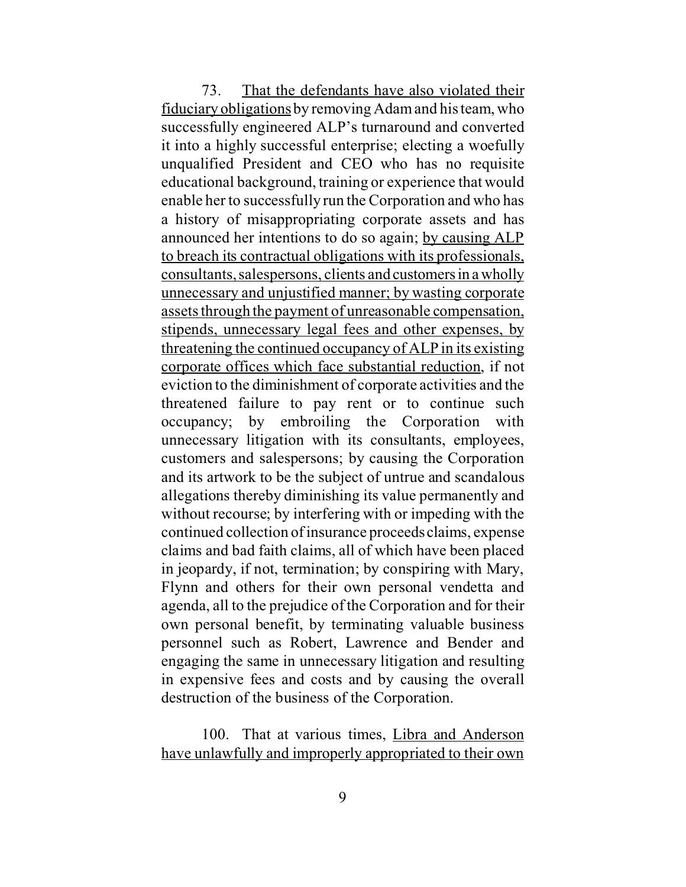73. That the defendants have also violated their fiduciary obligations by removing Adam and his team, who successfully engineered ALP's turnaround and converted it into a highly successful enterprise; electing a woefully unqualified President and CEO who has no requisite educational background, training or experience that would enable her to successfully run the Corporation and who has a history of misappropriating corporate assets and has announced her intentions to do so again; by causing ALP to breach its contractual obligations with its professionals, consultants, salespersons, clients and customersin awholly unnecessary and unjustified manner; by wasting corporate assets through the payment of unreasonable compensation, stipends, unnecessary legal fees and other expenses, by threatening the continued occupancy of ALP in its existing corporate offices which face substantial reduction, if not eviction to the diminishment of corporate activities and the threatened failure to pay rent or to continue such occupancy; by embroiling the Corporation with unnecessary litigation with its consultants, employees, customers and salespersons; by causing the Corporation and its artwork to be the subject of untrue and scandalous allegations thereby diminishing its value permanently and without recourse; by interfering with or impeding with the continued collection of insurance proceeds claims, expense claims and bad faith claims, all of which have been placed in jeopardy, if not, termination; by conspiring with Mary, Flynn and others for their own personal vendetta and agenda, all to the prejudice of the Corporation and for their own personal benefit, by terminating valuable business personnel such as Robert, Lawrence and Bender and engaging the same in unnecessary litigation and resulting in expensive fees and costs and by causing the overall destruction of the business of the Corporation.

100. That at various times, Libra and Anderson have unlawfully and improperly appropriated to their own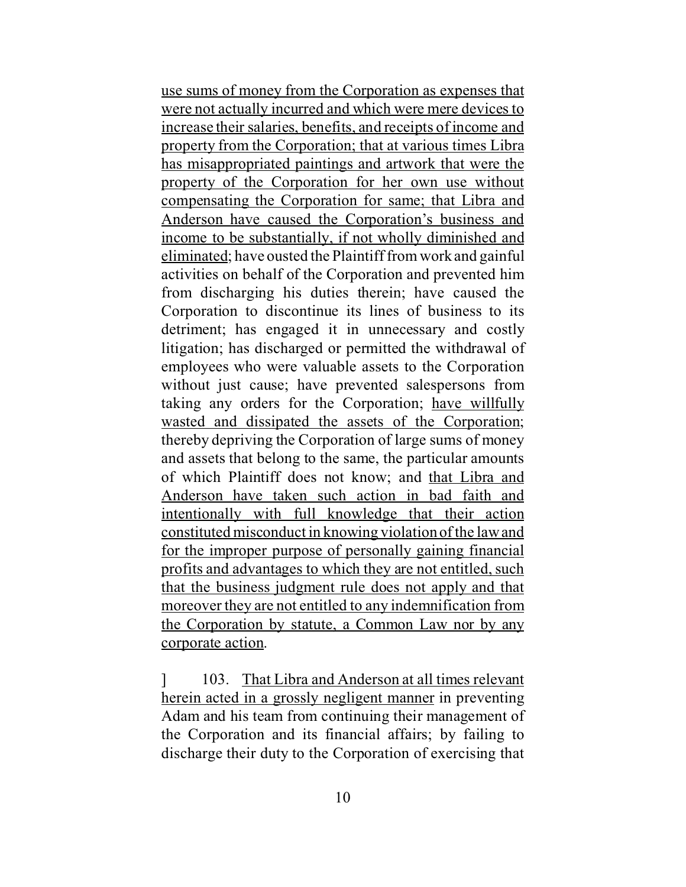use sums of money from the Corporation as expenses that were not actually incurred and which were mere devices to increase their salaries, benefits, and receipts of income and property from the Corporation; that at various times Libra has misappropriated paintings and artwork that were the property of the Corporation for her own use without compensating the Corporation for same; that Libra and Anderson have caused the Corporation's business and income to be substantially, if not wholly diminished and eliminated; have ousted the Plaintiff from work and gainful activities on behalf of the Corporation and prevented him from discharging his duties therein; have caused the Corporation to discontinue its lines of business to its detriment; has engaged it in unnecessary and costly litigation; has discharged or permitted the withdrawal of employees who were valuable assets to the Corporation without just cause; have prevented salespersons from taking any orders for the Corporation; have willfully wasted and dissipated the assets of the Corporation; thereby depriving the Corporation of large sums of money and assets that belong to the same, the particular amounts of which Plaintiff does not know; and that Libra and Anderson have taken such action in bad faith and intentionally with full knowledge that their action constituted misconduct in knowing violation of the law and for the improper purpose of personally gaining financial profits and advantages to which they are not entitled, such that the business judgment rule does not apply and that moreover they are not entitled to any indemnification from the Corporation by statute, a Common Law nor by any corporate action.

] 103. That Libra and Anderson at all times relevant herein acted in a grossly negligent manner in preventing Adam and his team from continuing their management of the Corporation and its financial affairs; by failing to discharge their duty to the Corporation of exercising that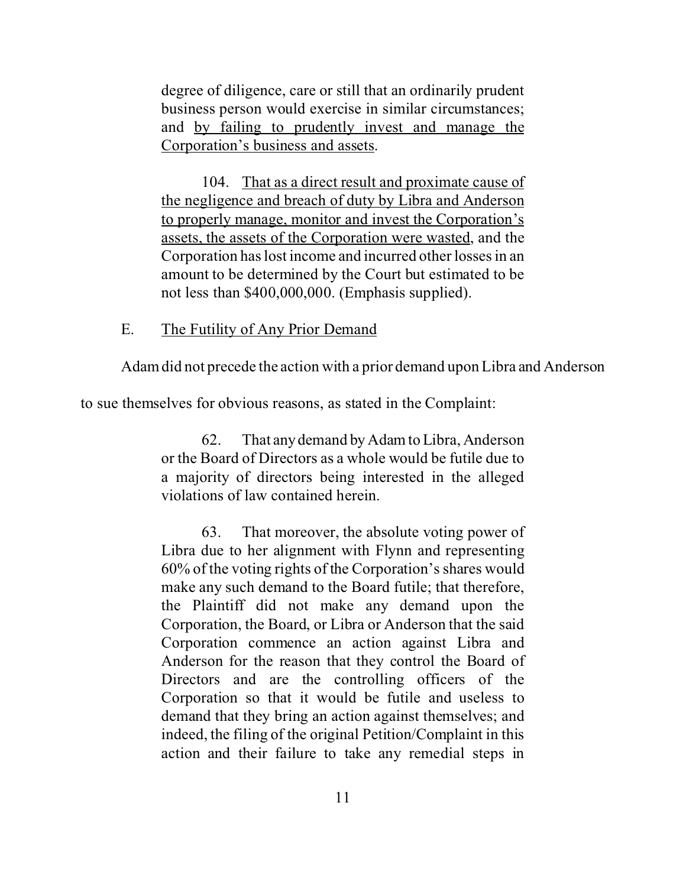<span id="page-20-0"></span>degree of diligence, care or still that an ordinarily prudent business person would exercise in similar circumstances; and by failing to prudently invest and manage the Corporation's business and assets.

104. That as a direct result and proximate cause of the negligence and breach of duty by Libra and Anderson to properly manage, monitor and invest the Corporation's assets, the assets of the Corporation were wasted, and the Corporation has lost income and incurred other losses in an amount to be determined by the Court but estimated to be not less than \$400,000,000. (Emphasis supplied).

## E. The Futility of Any Prior Demand

Adam did not precede the action with a prior demand upon Libra and Anderson

to sue themselves for obvious reasons, as stated in the Complaint:

62. That anydemand by Adam to Libra, Anderson or the Board of Directors as a whole would be futile due to a majority of directors being interested in the alleged violations of law contained herein.

63. That moreover, the absolute voting power of Libra due to her alignment with Flynn and representing 60% of the voting rights of the Corporation's shares would make any such demand to the Board futile; that therefore, the Plaintiff did not make any demand upon the Corporation, the Board, or Libra or Anderson that the said Corporation commence an action against Libra and Anderson for the reason that they control the Board of Directors and are the controlling officers of the Corporation so that it would be futile and useless to demand that they bring an action against themselves; and indeed, the filing of the original Petition/Complaint in this action and their failure to take any remedial steps in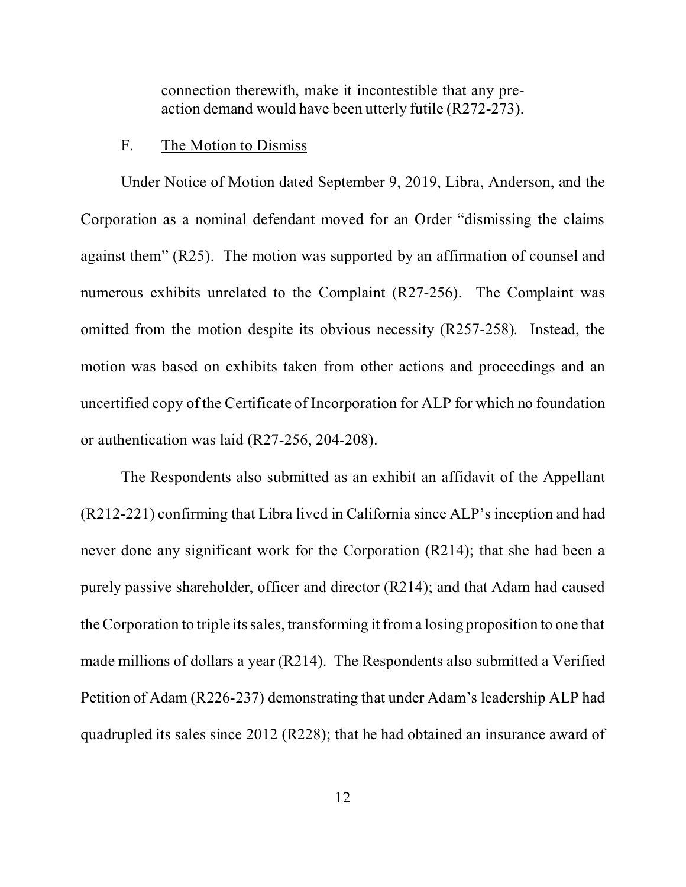<span id="page-21-0"></span>connection therewith, make it incontestible that any preaction demand would have been utterly futile (R272-273).

#### F. The Motion to Dismiss

Under Notice of Motion dated September 9, 2019, Libra, Anderson, and the Corporation as a nominal defendant moved for an Order "dismissing the claims against them" (R25). The motion was supported by an affirmation of counsel and numerous exhibits unrelated to the Complaint (R27-256). The Complaint was omitted from the motion despite its obvious necessity (R257-258). Instead, the motion was based on exhibits taken from other actions and proceedings and an uncertified copy of the Certificate of Incorporation for ALP for which no foundation or authentication was laid (R27-256, 204-208).

The Respondents also submitted as an exhibit an affidavit of the Appellant (R212-221) confirming that Libra lived in California since ALP's inception and had never done any significant work for the Corporation (R214); that she had been a purely passive shareholder, officer and director (R214); and that Adam had caused the Corporation to triple its sales, transforming it from a losing proposition to one that made millions of dollars a year (R214). The Respondents also submitted a Verified Petition of Adam (R226-237) demonstrating that under Adam's leadership ALP had quadrupled its sales since 2012 (R228); that he had obtained an insurance award of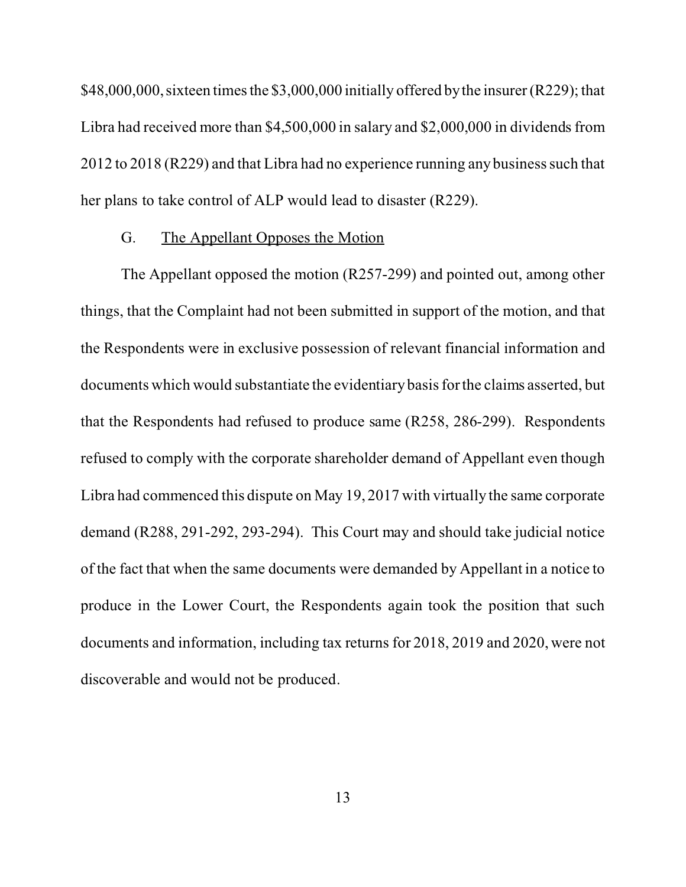<span id="page-22-0"></span>\$48,000,000, sixteen times the \$3,000,000 initially offered by the insurer (R229); that Libra had received more than \$4,500,000 in salary and \$2,000,000 in dividends from 2012 to 2018 (R229) and that Libra had no experience running any business such that her plans to take control of ALP would lead to disaster (R229).

## G. The Appellant Opposes the Motion

The Appellant opposed the motion (R257-299) and pointed out, among other things, that the Complaint had not been submitted in support of the motion, and that the Respondents were in exclusive possession of relevant financial information and documents which would substantiate the evidentiary basis for the claims asserted, but that the Respondents had refused to produce same (R258, 286-299). Respondents refused to comply with the corporate shareholder demand of Appellant even though Libra had commenced this dispute on May 19, 2017 with virtually the same corporate demand (R288, 291-292, 293-294). This Court may and should take judicial notice of the fact that when the same documents were demanded by Appellant in a notice to produce in the Lower Court, the Respondents again took the position that such documents and information, including tax returns for 2018, 2019 and 2020, were not discoverable and would not be produced.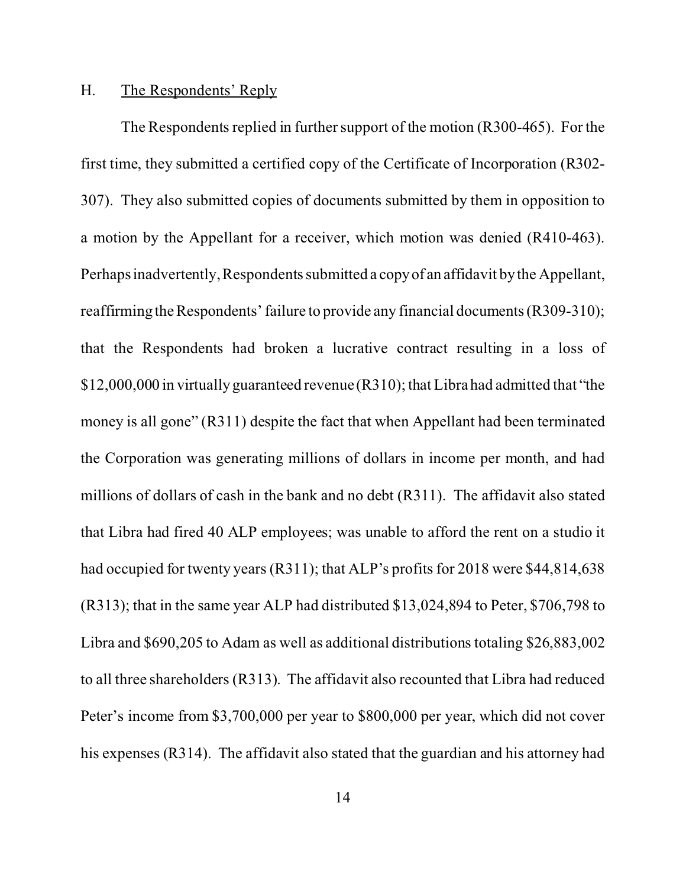#### <span id="page-23-0"></span>H. The Respondents' Reply

The Respondents replied in further support of the motion (R300-465). For the first time, they submitted a certified copy of the Certificate of Incorporation (R302- 307). They also submitted copies of documents submitted by them in opposition to a motion by the Appellant for a receiver, which motion was denied (R410-463). Perhaps inadvertently, Respondents submitted a copyof an affidavit by the Appellant, reaffirming the Respondents' failure to provide any financial documents (R309-310); that the Respondents had broken a lucrative contract resulting in a loss of \$12,000,000 in virtually guaranteed revenue (R310); that Libra had admitted that "the money is all gone" (R311) despite the fact that when Appellant had been terminated the Corporation was generating millions of dollars in income per month, and had millions of dollars of cash in the bank and no debt (R311). The affidavit also stated that Libra had fired 40 ALP employees; was unable to afford the rent on a studio it had occupied for twenty years (R311); that ALP's profits for 2018 were \$44,814,638 (R313); that in the same year ALP had distributed \$13,024,894 to Peter, \$706,798 to Libra and \$690,205 to Adam as well as additional distributions totaling \$26,883,002 to all three shareholders (R313). The affidavit also recounted that Libra had reduced Peter's income from \$3,700,000 per year to \$800,000 per year, which did not cover his expenses (R314). The affidavit also stated that the guardian and his attorney had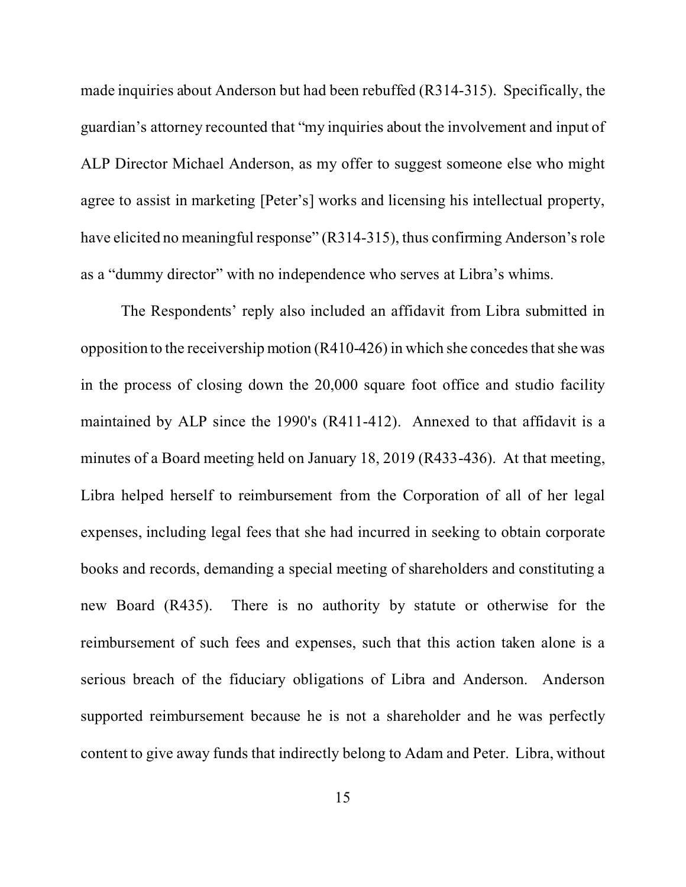made inquiries about Anderson but had been rebuffed (R314-315). Specifically, the guardian's attorney recounted that "my inquiries about the involvement and input of ALP Director Michael Anderson, as my offer to suggest someone else who might agree to assist in marketing [Peter's] works and licensing his intellectual property, have elicited no meaningful response" (R314-315), thus confirming Anderson's role as a "dummy director" with no independence who serves at Libra's whims.

The Respondents' reply also included an affidavit from Libra submitted in opposition to the receivership motion (R410-426) in which she concedes that she was in the process of closing down the 20,000 square foot office and studio facility maintained by ALP since the 1990's (R411-412). Annexed to that affidavit is a minutes of a Board meeting held on January 18, 2019 (R433-436). At that meeting, Libra helped herself to reimbursement from the Corporation of all of her legal expenses, including legal fees that she had incurred in seeking to obtain corporate books and records, demanding a special meeting of shareholders and constituting a new Board (R435). There is no authority by statute or otherwise for the reimbursement of such fees and expenses, such that this action taken alone is a serious breach of the fiduciary obligations of Libra and Anderson. Anderson supported reimbursement because he is not a shareholder and he was perfectly content to give away funds that indirectly belong to Adam and Peter. Libra, without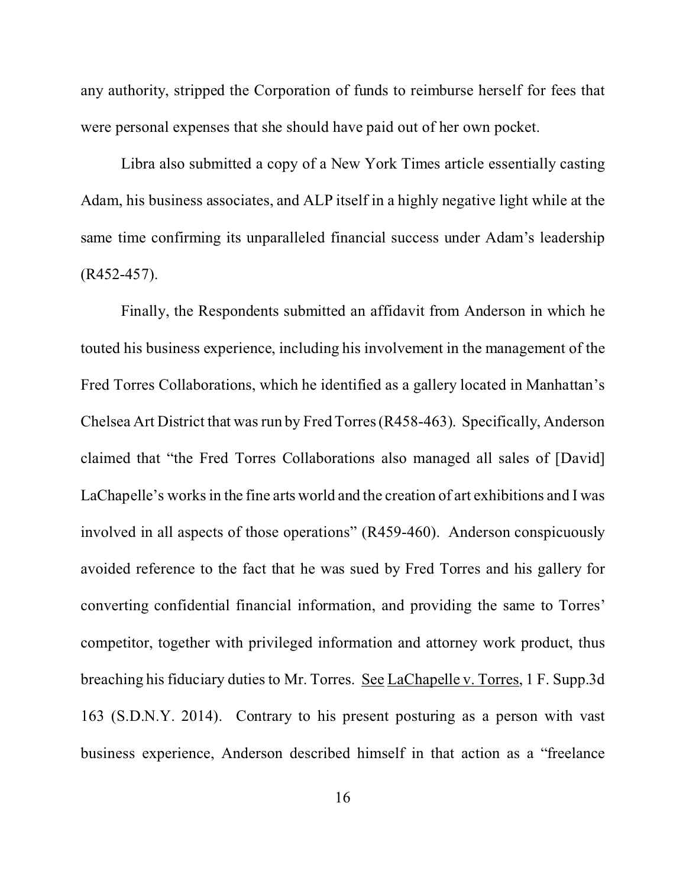any authority, stripped the Corporation of funds to reimburse herself for fees that were personal expenses that she should have paid out of her own pocket.

Libra also submitted a copy of a New York Times article essentially casting Adam, his business associates, and ALP itself in a highly negative light while at the same time confirming its unparalleled financial success under Adam's leadership (R452-457).

Finally, the Respondents submitted an affidavit from Anderson in which he touted his business experience, including his involvement in the management of the Fred Torres Collaborations, which he identified as a gallery located in Manhattan's Chelsea Art District that was run by Fred Torres (R458-463). Specifically, Anderson claimed that "the Fred Torres Collaborations also managed all sales of [David] LaChapelle's works in the fine arts world and the creation of art exhibitions and I was involved in all aspects of those operations" (R459-460). Anderson conspicuously avoided reference to the fact that he was sued by Fred Torres and his gallery for converting confidential financial information, and providing the same to Torres' competitor, together with privileged information and attorney work product, thus breaching his fiduciary duties to Mr. Torres. See LaChapelle v. Torres, 1 F. Supp.3d 163 (S.D.N.Y. 2014). Contrary to his present posturing as a person with vast business experience, Anderson described himself in that action as a "freelance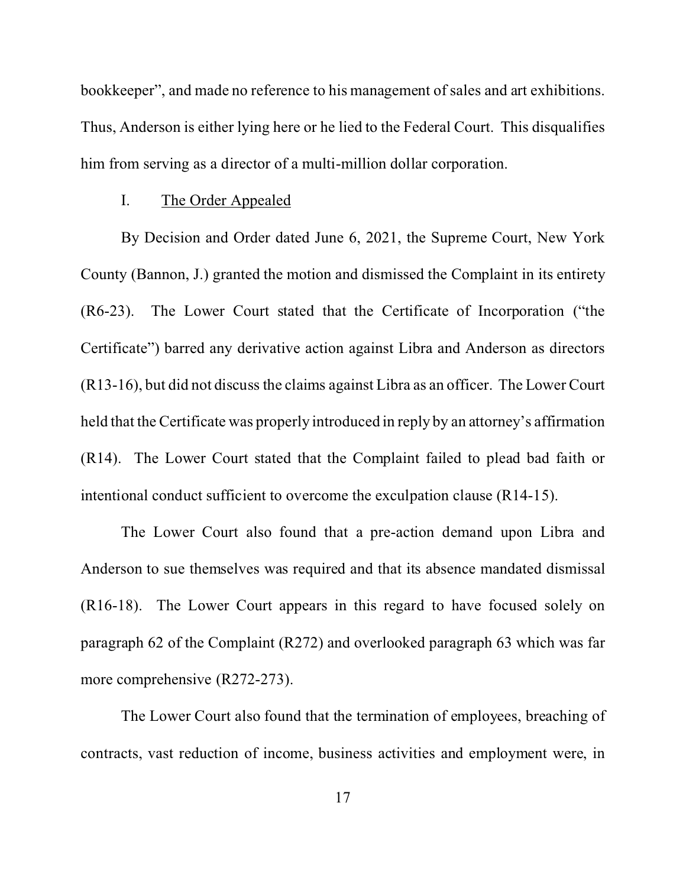<span id="page-26-0"></span>bookkeeper", and made no reference to his management of sales and art exhibitions. Thus, Anderson is either lying here or he lied to the Federal Court. This disqualifies him from serving as a director of a multi-million dollar corporation.

#### I. The Order Appealed

By Decision and Order dated June 6, 2021, the Supreme Court, New York County (Bannon, J.) granted the motion and dismissed the Complaint in its entirety (R6-23). The Lower Court stated that the Certificate of Incorporation ("the Certificate") barred any derivative action against Libra and Anderson as directors (R13-16), but did not discuss the claims against Libra as an officer. The Lower Court held that the Certificate was properly introduced in reply by an attorney's affirmation (R14). The Lower Court stated that the Complaint failed to plead bad faith or intentional conduct sufficient to overcome the exculpation clause (R14-15).

The Lower Court also found that a pre-action demand upon Libra and Anderson to sue themselves was required and that its absence mandated dismissal (R16-18). The Lower Court appears in this regard to have focused solely on paragraph 62 of the Complaint (R272) and overlooked paragraph 63 which was far more comprehensive (R272-273).

The Lower Court also found that the termination of employees, breaching of contracts, vast reduction of income, business activities and employment were, in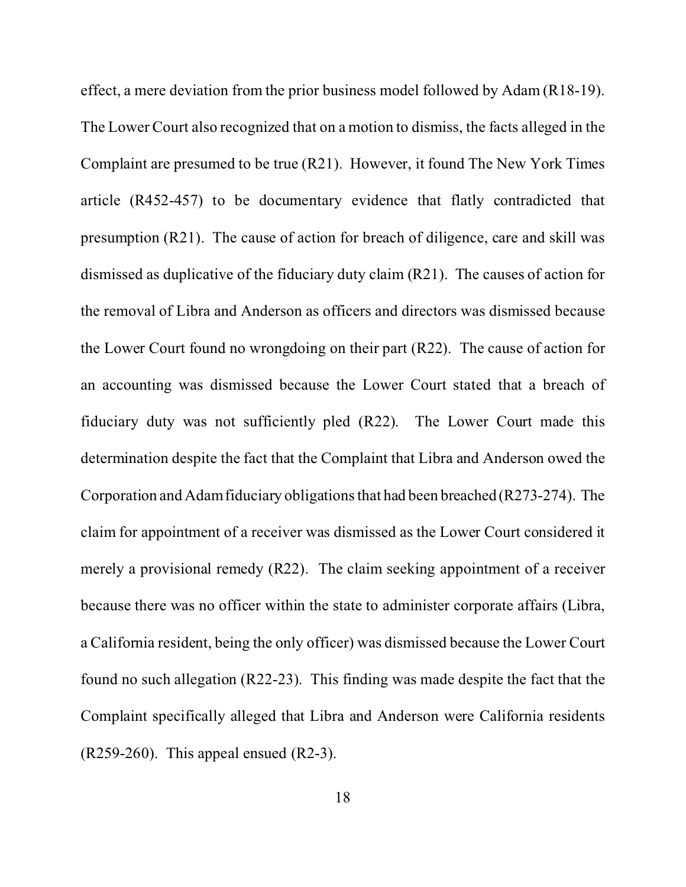effect, a mere deviation from the prior business model followed by Adam (R18-19). The Lower Court also recognized that on a motion to dismiss, the facts alleged in the Complaint are presumed to be true (R21). However, it found The New York Times article (R452-457) to be documentary evidence that flatly contradicted that presumption (R21). The cause of action for breach of diligence, care and skill was dismissed as duplicative of the fiduciary duty claim (R21). The causes of action for the removal of Libra and Anderson as officers and directors was dismissed because the Lower Court found no wrongdoing on their part (R22). The cause of action for an accounting was dismissed because the Lower Court stated that a breach of fiduciary duty was not sufficiently pled (R22). The Lower Court made this determination despite the fact that the Complaint that Libra and Anderson owed the Corporation and Adam fiduciary obligations that had been breached (R273-274). The claim for appointment of a receiver was dismissed as the Lower Court considered it merely a provisional remedy (R22). The claim seeking appointment of a receiver because there was no officer within the state to administer corporate affairs (Libra, a California resident, being the only officer) was dismissed because the Lower Court found no such allegation (R22-23). This finding was made despite the fact that the Complaint specifically alleged that Libra and Anderson were California residents  $(R259-260)$ . This appeal ensued  $(R2-3)$ .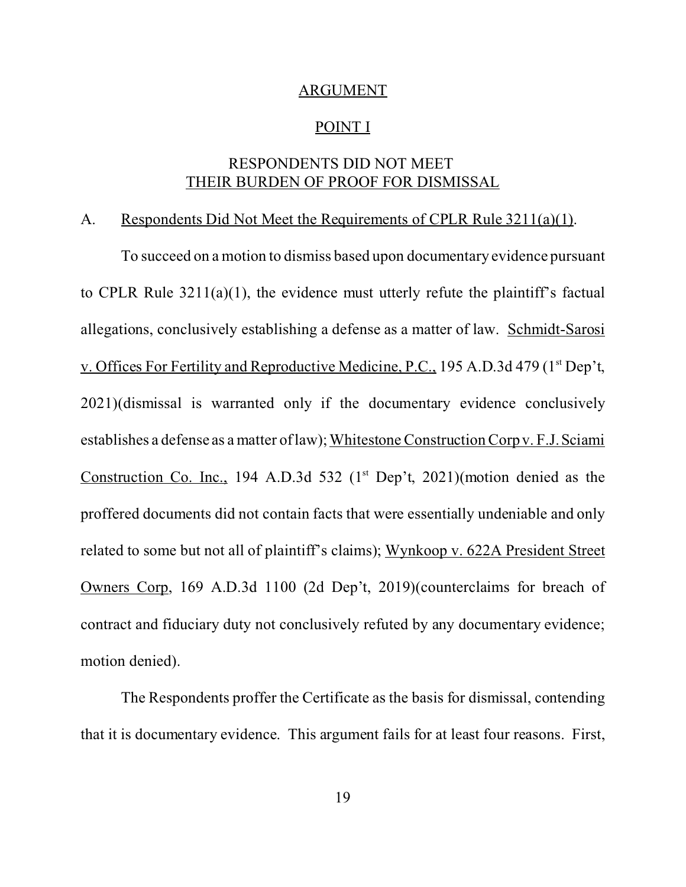#### ARGUMENT

#### POINT I

# RESPONDENTS DID NOT MEET THEIR BURDEN OF PROOF FOR DISMISSAL

# <span id="page-28-0"></span>A. Respondents Did Not Meet the Requirements of CPLR Rule 3211(a)(1).

To succeed on a motion to dismiss based upon documentary evidence pursuant to CPLR Rule 3211(a)(1), the evidence must utterly refute the plaintiff's factual allegations, conclusively establishing a defense as a matter of law. Schmidt-Sarosi v. Offices For Fertility and Reproductive Medicine, P.C., 195 A.D.3d 479 (1st Dep't, 2021)(dismissal is warranted only if the documentary evidence conclusively establishes a defense as a matter of law); Whitestone Construction Corp v. F.J. Sciami Construction Co. Inc., 194 A.D.3d 532 ( $1<sup>st</sup>$  Dep't, 2021)(motion denied as the proffered documents did not contain facts that were essentially undeniable and only related to some but not all of plaintiff's claims); Wynkoop v. 622A President Street Owners Corp, 169 A.D.3d 1100 (2d Dep't, 2019)(counterclaims for breach of contract and fiduciary duty not conclusively refuted by any documentary evidence; motion denied).

The Respondents proffer the Certificate as the basis for dismissal, contending that it is documentary evidence. This argument fails for at least four reasons. First,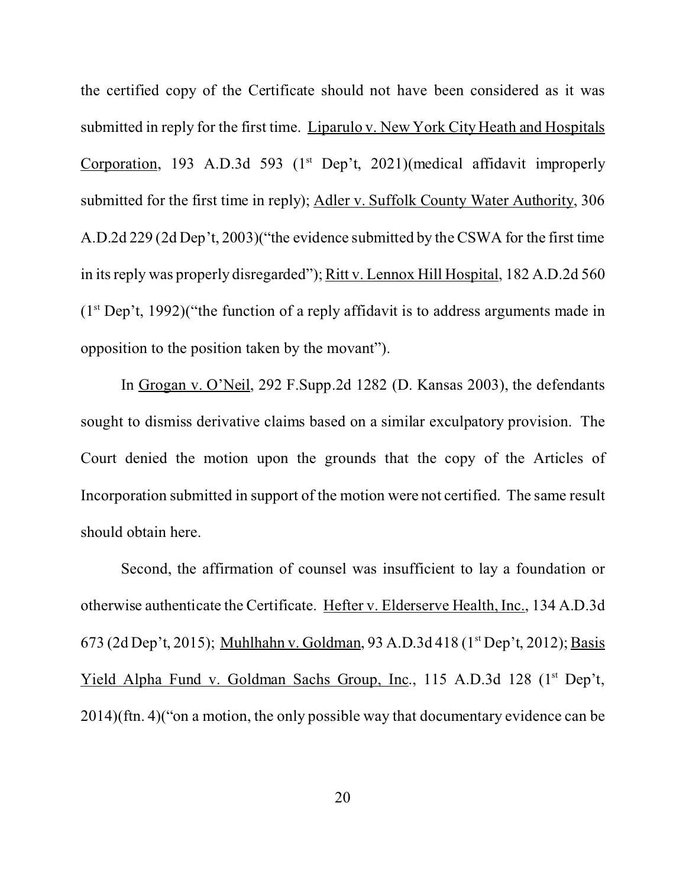the certified copy of the Certificate should not have been considered as it was submitted in reply for the first time. Liparulo v. New York City Heath and Hospitals Corporation, 193 A.D.3d 593 ( $1<sup>st</sup>$  Dep't, 2021)(medical affidavit improperly submitted for the first time in reply); Adler v. Suffolk County Water Authority, 306 A.D.2d 229 (2d Dep't, 2003)("the evidence submitted by the CSWA for the first time in its reply was properly disregarded"); Ritt v. Lennox Hill Hospital, 182 A.D.2d 560  $(1<sup>st</sup> Dep't, 1992)$ <sup>\*</sup> ("the function of a reply affidavit is to address arguments made in opposition to the position taken by the movant").

In Grogan v. O'Neil, 292 F.Supp.2d 1282 (D. Kansas 2003), the defendants sought to dismiss derivative claims based on a similar exculpatory provision. The Court denied the motion upon the grounds that the copy of the Articles of Incorporation submitted in support of the motion were not certified. The same result should obtain here.

Second, the affirmation of counsel was insufficient to lay a foundation or otherwise authenticate the Certificate. Hefter v. Elderserve Health, Inc., 134 A.D.3d 673 (2d Dep't, 2015); Muhlhahn v. Goldman, 93 A.D.3d 418 (1st Dep't, 2012); Basis Yield Alpha Fund v. Goldman Sachs Group, Inc., 115 A.D.3d 128 (1<sup>st</sup> Dep't, 2014)(ftn. 4)("on a motion, the only possible way that documentary evidence can be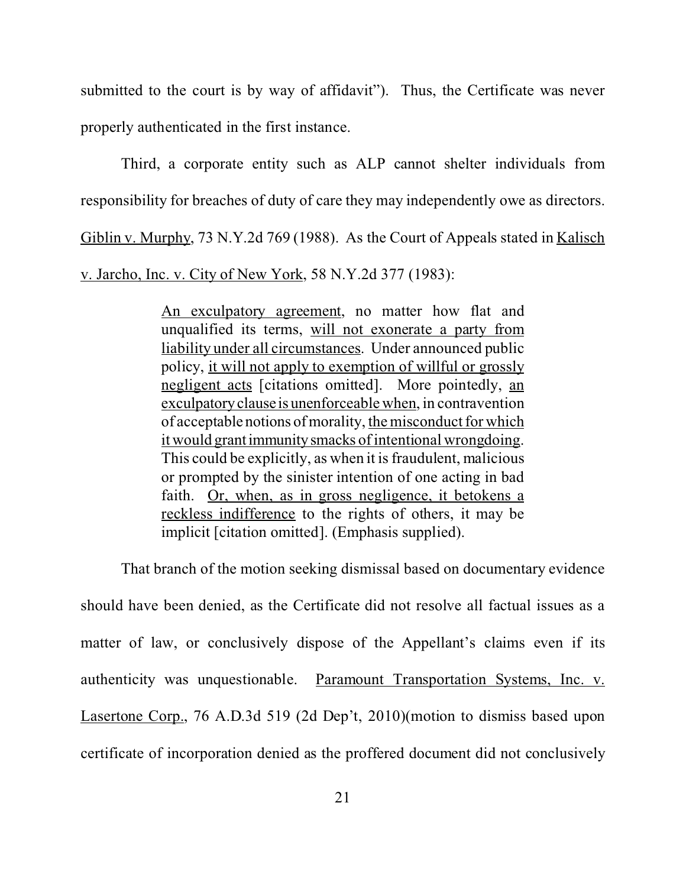submitted to the court is by way of affidavit"). Thus, the Certificate was never properly authenticated in the first instance.

Third, a corporate entity such as ALP cannot shelter individuals from responsibility for breaches of duty of care they may independently owe as directors. Giblin v. Murphy, 73 N.Y.2d 769 (1988). As the Court of Appeals stated in Kalisch v. Jarcho, Inc. v. City of New York, 58 N.Y.2d 377 (1983):

> An exculpatory agreement, no matter how flat and unqualified its terms, will not exonerate a party from liability under all circumstances. Under announced public policy, it will not apply to exemption of willful or grossly negligent acts [citations omitted]. More pointedly, an exculpatory clause is unenforceable when, in contravention of acceptable notions of morality, the misconduct for which it would grantimmunitysmacks of intentional wrongdoing. This could be explicitly, as when it is fraudulent, malicious or prompted by the sinister intention of one acting in bad faith. Or, when, as in gross negligence, it betokens a reckless indifference to the rights of others, it may be implicit [citation omitted]. (Emphasis supplied).

That branch of the motion seeking dismissal based on documentary evidence should have been denied, as the Certificate did not resolve all factual issues as a matter of law, or conclusively dispose of the Appellant's claims even if its authenticity was unquestionable. Paramount Transportation Systems, Inc. v. Lasertone Corp., 76 A.D.3d 519 (2d Dep't, 2010)(motion to dismiss based upon certificate of incorporation denied as the proffered document did not conclusively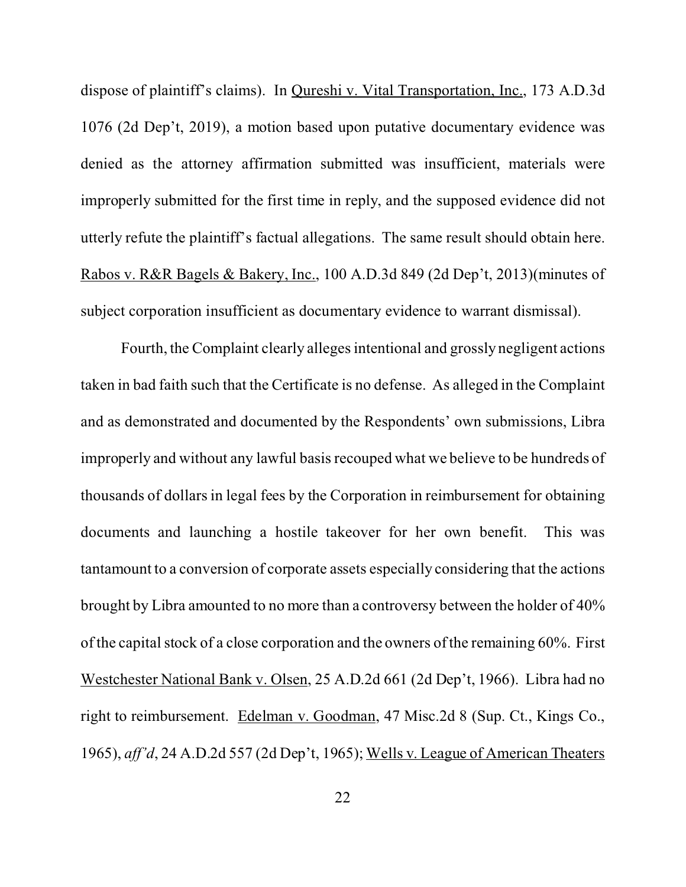dispose of plaintiff's claims). In Qureshi v. Vital Transportation, Inc., 173 A.D.3d 1076 (2d Dep't, 2019), a motion based upon putative documentary evidence was denied as the attorney affirmation submitted was insufficient, materials were improperly submitted for the first time in reply, and the supposed evidence did not utterly refute the plaintiff's factual allegations. The same result should obtain here. Rabos v. R&R Bagels & Bakery, Inc., 100 A.D.3d 849 (2d Dep't, 2013)(minutes of subject corporation insufficient as documentary evidence to warrant dismissal).

Fourth, the Complaint clearly alleges intentional and grossly negligent actions taken in bad faith such that the Certificate is no defense. As alleged in the Complaint and as demonstrated and documented by the Respondents' own submissions, Libra improperly and without any lawful basis recouped what we believe to be hundreds of thousands of dollars in legal fees by the Corporation in reimbursement for obtaining documents and launching a hostile takeover for her own benefit. This was tantamount to a conversion of corporate assets especially considering that the actions brought by Libra amounted to no more than a controversy between the holder of 40% of the capital stock of a close corporation and the owners of the remaining 60%. First Westchester National Bank v. Olsen, 25 A.D.2d 661 (2d Dep't, 1966). Libra had no right to reimbursement. Edelman v. Goodman, 47 Misc.2d 8 (Sup. Ct., Kings Co., 1965), *aff'd*, 24 A.D.2d 557 (2d Dep't, 1965); Wells v. League of American Theaters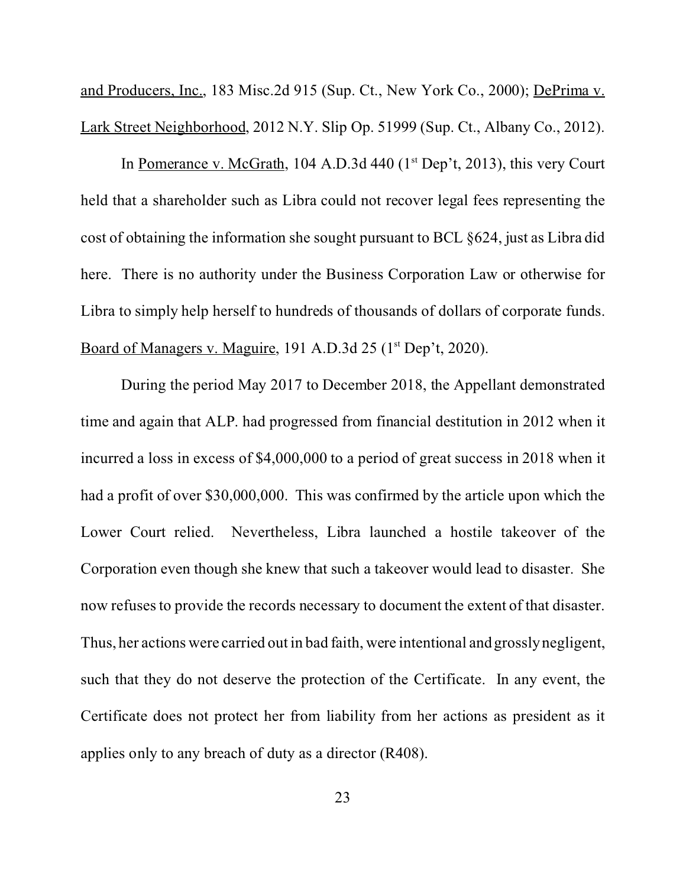and Producers, Inc., 183 Misc.2d 915 (Sup. Ct., New York Co., 2000); DePrima v. Lark Street Neighborhood, 2012 N.Y. Slip Op. 51999 (Sup. Ct., Albany Co., 2012).

In Pomerance v. McGrath, 104 A.D.3d 440  $(1<sup>st</sup>$  Dep't, 2013), this very Court held that a shareholder such as Libra could not recover legal fees representing the cost of obtaining the information she sought pursuant to BCL §624, just as Libra did here. There is no authority under the Business Corporation Law or otherwise for Libra to simply help herself to hundreds of thousands of dollars of corporate funds. Board of Managers v. Maguire, 191 A.D.3d 25 (1<sup>st</sup> Dep't, 2020).

During the period May 2017 to December 2018, the Appellant demonstrated time and again that ALP. had progressed from financial destitution in 2012 when it incurred a loss in excess of \$4,000,000 to a period of great success in 2018 when it had a profit of over \$30,000,000. This was confirmed by the article upon which the Lower Court relied. Nevertheless, Libra launched a hostile takeover of the Corporation even though she knew that such a takeover would lead to disaster. She now refuses to provide the records necessary to document the extent of that disaster. Thus, her actions were carried out in bad faith, were intentional and grossly negligent, such that they do not deserve the protection of the Certificate. In any event, the Certificate does not protect her from liability from her actions as president as it applies only to any breach of duty as a director (R408).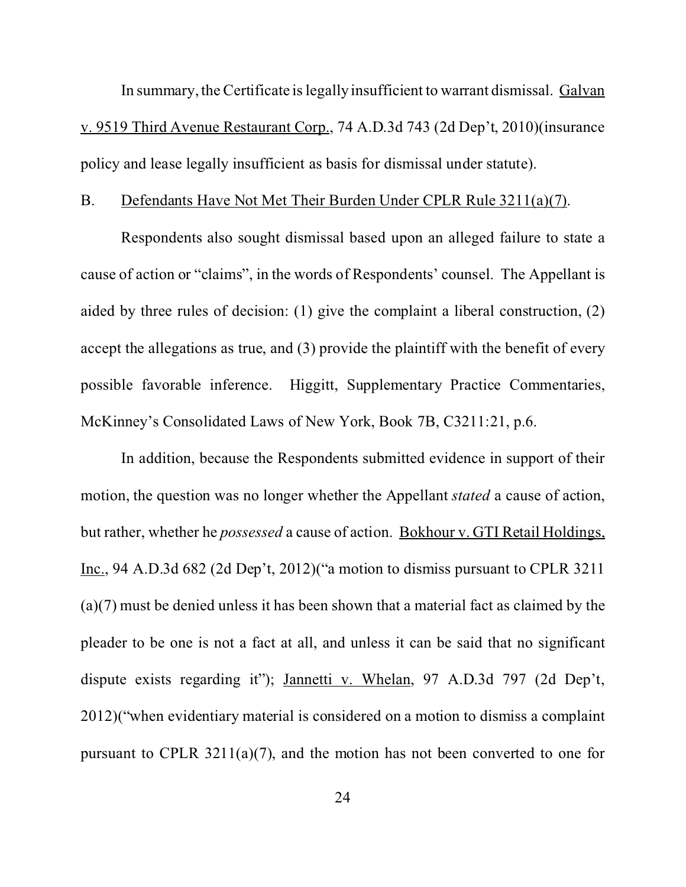<span id="page-33-0"></span>In summary, the Certificate is legally insufficient to warrant dismissal. Galvan v. 9519 Third Avenue Restaurant Corp., 74 A.D.3d 743 (2d Dep't, 2010)(insurance policy and lease legally insufficient as basis for dismissal under statute).

#### B. Defendants Have Not Met Their Burden Under CPLR Rule 3211(a)(7).

Respondents also sought dismissal based upon an alleged failure to state a cause of action or "claims", in the words of Respondents' counsel. The Appellant is aided by three rules of decision: (1) give the complaint a liberal construction, (2) accept the allegations as true, and (3) provide the plaintiff with the benefit of every possible favorable inference. Higgitt, Supplementary Practice Commentaries, McKinney's Consolidated Laws of New York, Book 7B, C3211:21, p.6.

In addition, because the Respondents submitted evidence in support of their motion, the question was no longer whether the Appellant *stated* a cause of action, but rather, whether he *possessed* a cause of action. Bokhour v. GTI Retail Holdings, Inc., 94 A.D.3d 682 (2d Dep't, 2012)("a motion to dismiss pursuant to CPLR 3211 (a)(7) must be denied unless it has been shown that a material fact as claimed by the pleader to be one is not a fact at all, and unless it can be said that no significant dispute exists regarding it"); Jannetti v. Whelan, 97 A.D.3d 797 (2d Dep't, 2012)("when evidentiary material is considered on a motion to dismiss a complaint pursuant to CPLR 3211(a)(7), and the motion has not been converted to one for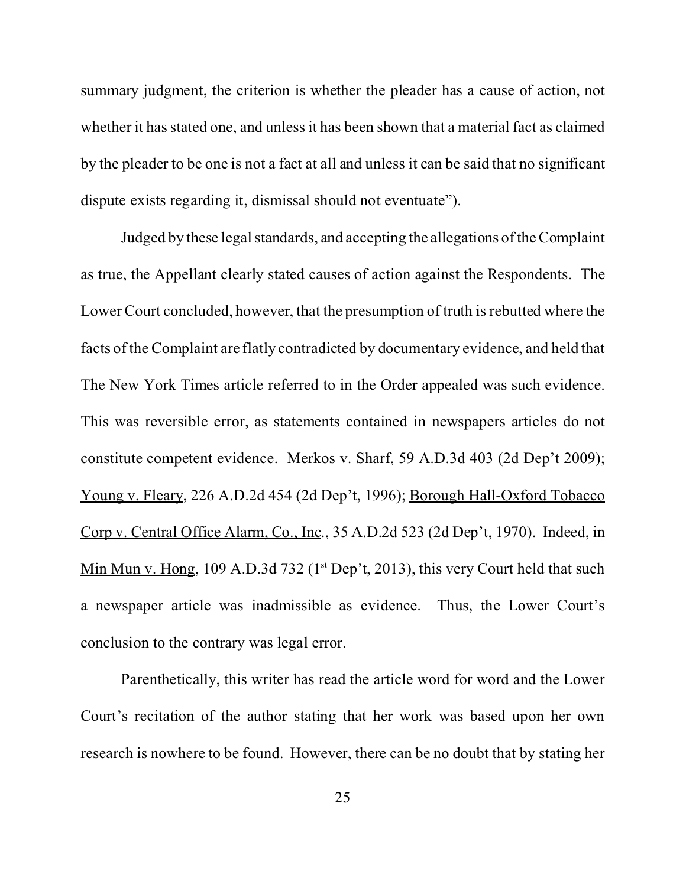summary judgment, the criterion is whether the pleader has a cause of action, not whether it has stated one, and unless it has been shown that a material fact as claimed by the pleader to be one is not a fact at all and unless it can be said that no significant dispute exists regarding it, dismissal should not eventuate").

Judged by these legal standards, and accepting the allegations of the Complaint as true, the Appellant clearly stated causes of action against the Respondents. The Lower Court concluded, however, that the presumption of truth is rebutted where the facts of the Complaint are flatly contradicted by documentary evidence, and held that The New York Times article referred to in the Order appealed was such evidence. This was reversible error, as statements contained in newspapers articles do not constitute competent evidence. Merkos v. Sharf, 59 A.D.3d 403 (2d Dep't 2009); Young v. Fleary, 226 A.D.2d 454 (2d Dep't, 1996); Borough Hall-Oxford Tobacco Corp v. Central Office Alarm, Co., Inc., 35 A.D.2d 523 (2d Dep't, 1970). Indeed, in Min Mun v. Hong, 109 A.D.3d 732 ( $1<sup>st</sup>$  Dep't, 2013), this very Court held that such a newspaper article was inadmissible as evidence. Thus, the Lower Court's conclusion to the contrary was legal error.

Parenthetically, this writer has read the article word for word and the Lower Court's recitation of the author stating that her work was based upon her own research is nowhere to be found. However, there can be no doubt that by stating her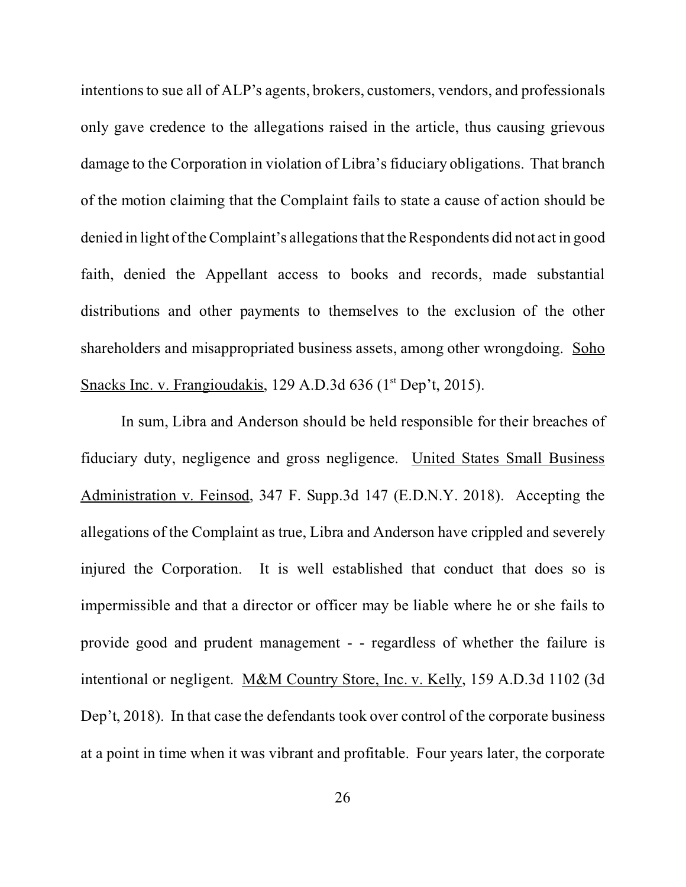intentions to sue all of ALP's agents, brokers, customers, vendors, and professionals only gave credence to the allegations raised in the article, thus causing grievous damage to the Corporation in violation of Libra's fiduciary obligations. That branch of the motion claiming that the Complaint fails to state a cause of action should be denied in light of the Complaint's allegations that the Respondents did not act in good faith, denied the Appellant access to books and records, made substantial distributions and other payments to themselves to the exclusion of the other shareholders and misappropriated business assets, among other wrongdoing. Soho Snacks Inc. v. Frangioudakis, 129 A.D.3d 636 (1<sup>st</sup> Dep't, 2015).

In sum, Libra and Anderson should be held responsible for their breaches of fiduciary duty, negligence and gross negligence. United States Small Business Administration v. Feinsod, 347 F. Supp.3d 147 (E.D.N.Y. 2018). Accepting the allegations of the Complaint as true, Libra and Anderson have crippled and severely injured the Corporation. It is well established that conduct that does so is impermissible and that a director or officer may be liable where he or she fails to provide good and prudent management - - regardless of whether the failure is intentional or negligent. M&M Country Store, Inc. v. Kelly, 159 A.D.3d 1102 (3d Dep't, 2018). In that case the defendants took over control of the corporate business at a point in time when it was vibrant and profitable. Four years later, the corporate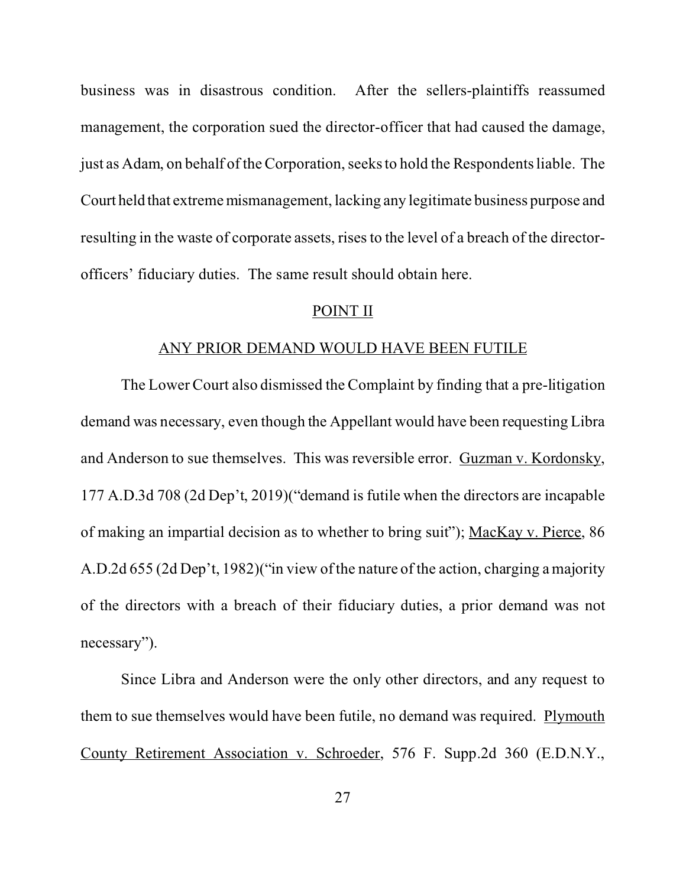<span id="page-36-0"></span>business was in disastrous condition. After the sellers-plaintiffs reassumed management, the corporation sued the director-officer that had caused the damage, just as Adam, on behalf of the Corporation, seeks to hold the Respondents liable. The Court held that extreme mismanagement, lacking any legitimate business purpose and resulting in the waste of corporate assets, rises to the level of a breach of the directorofficers' fiduciary duties. The same result should obtain here.

#### POINT II

#### ANY PRIOR DEMAND WOULD HAVE BEEN FUTILE

The Lower Court also dismissed the Complaint by finding that a pre-litigation demand was necessary, even though the Appellant would have been requesting Libra and Anderson to sue themselves. This was reversible error. Guzman v. Kordonsky, 177 A.D.3d 708 (2d Dep't, 2019)("demand is futile when the directors are incapable of making an impartial decision as to whether to bring suit"); MacKay v. Pierce, 86 A.D.2d 655 (2d Dep't, 1982)("in view of the nature of the action, charging a majority of the directors with a breach of their fiduciary duties, a prior demand was not necessary").

Since Libra and Anderson were the only other directors, and any request to them to sue themselves would have been futile, no demand was required. Plymouth County Retirement Association v. Schroeder, 576 F. Supp.2d 360 (E.D.N.Y.,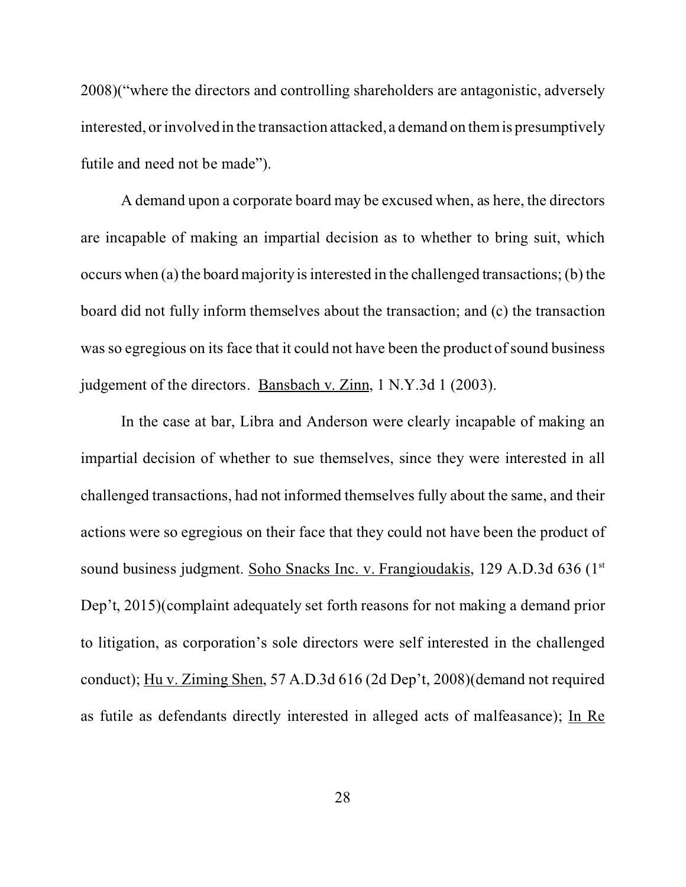2008)("where the directors and controlling shareholders are antagonistic, adversely interested, or involved in the transaction attacked, a demand on them is presumptively futile and need not be made").

A demand upon a corporate board may be excused when, as here, the directors are incapable of making an impartial decision as to whether to bring suit, which occurs when (a) the board majority is interested in the challenged transactions; (b) the board did not fully inform themselves about the transaction; and (c) the transaction was so egregious on its face that it could not have been the product of sound business judgement of the directors. Bansbach v. Zinn, 1 N.Y.3d 1 (2003).

In the case at bar, Libra and Anderson were clearly incapable of making an impartial decision of whether to sue themselves, since they were interested in all challenged transactions, had not informed themselves fully about the same, and their actions were so egregious on their face that they could not have been the product of sound business judgment. Soho Snacks Inc. v. Frangioudakis, 129 A.D.3d 636 (1<sup>st</sup>) Dep't, 2015)(complaint adequately set forth reasons for not making a demand prior to litigation, as corporation's sole directors were self interested in the challenged conduct); Hu v. Ziming Shen, 57 A.D.3d 616 (2d Dep't, 2008)(demand not required as futile as defendants directly interested in alleged acts of malfeasance); In Re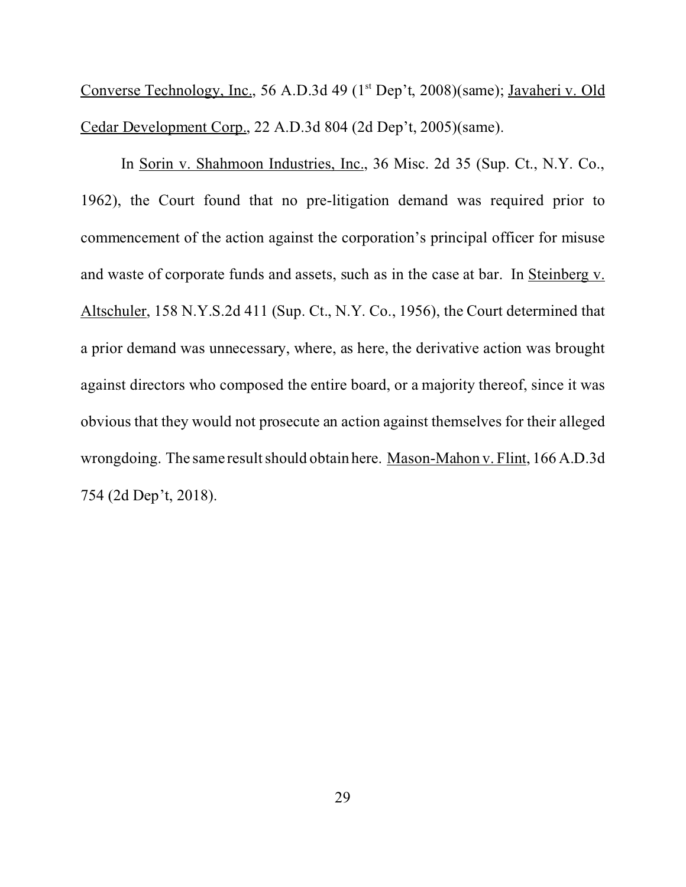Converse Technology, Inc., 56 A.D.3d 49 (1<sup>st</sup> Dep't, 2008)(same); Javaheri v. Old Cedar Development Corp., 22 A.D.3d 804 (2d Dep't, 2005)(same).

In Sorin v. Shahmoon Industries, Inc., 36 Misc. 2d 35 (Sup. Ct., N.Y. Co., 1962), the Court found that no pre-litigation demand was required prior to commencement of the action against the corporation's principal officer for misuse and waste of corporate funds and assets, such as in the case at bar. In Steinberg v. Altschuler, 158 N.Y.S.2d 411 (Sup. Ct., N.Y. Co., 1956), the Court determined that a prior demand was unnecessary, where, as here, the derivative action was brought against directors who composed the entire board, or a majority thereof, since it was obvious that they would not prosecute an action against themselves for their alleged wrongdoing. The same result should obtain here. Mason-Mahon v. Flint, 166 A.D.3d 754 (2d Dep't, 2018).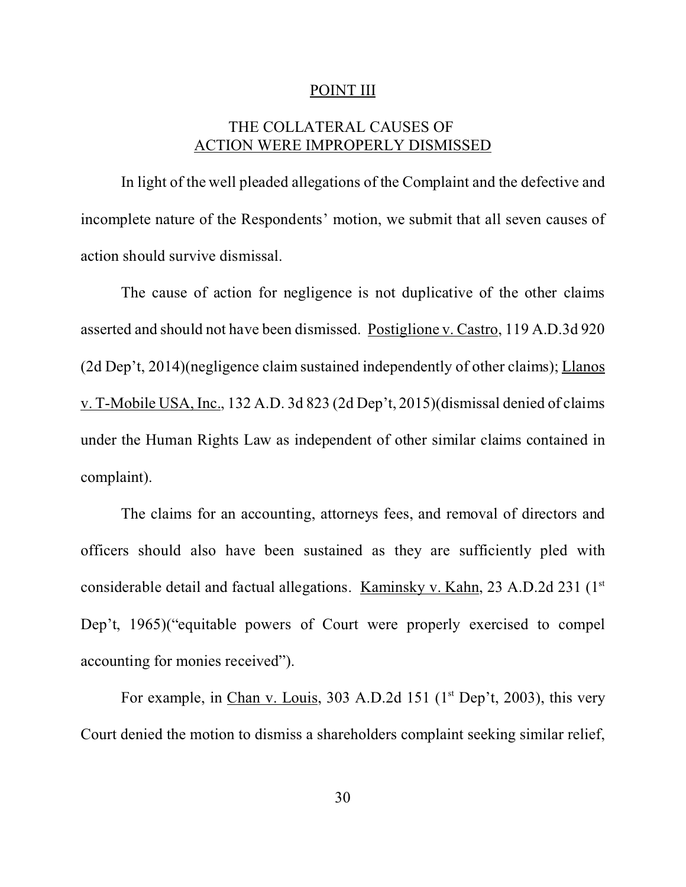#### POINT III

# THE COLLATERAL CAUSES OF ACTION WERE IMPROPERLY DISMISSED

<span id="page-39-0"></span>In light of the well pleaded allegations of the Complaint and the defective and incomplete nature of the Respondents' motion, we submit that all seven causes of action should survive dismissal.

The cause of action for negligence is not duplicative of the other claims asserted and should not have been dismissed. Postiglione v. Castro, 119 A.D.3d 920 (2d Dep't, 2014)(negligence claim sustained independently of other claims); Llanos v. T-Mobile USA, Inc., 132 A.D. 3d 823 (2d Dep't, 2015)(dismissal denied of claims under the Human Rights Law as independent of other similar claims contained in complaint).

The claims for an accounting, attorneys fees, and removal of directors and officers should also have been sustained as they are sufficiently pled with considerable detail and factual allegations. Kaminsky v. Kahn, 23 A.D.2d 231 (1st) Dep't, 1965)("equitable powers of Court were properly exercised to compel accounting for monies received").

For example, in Chan v. Louis, 303 A.D.2d 151 ( $1<sup>st</sup>$  Dep't, 2003), this very Court denied the motion to dismiss a shareholders complaint seeking similar relief,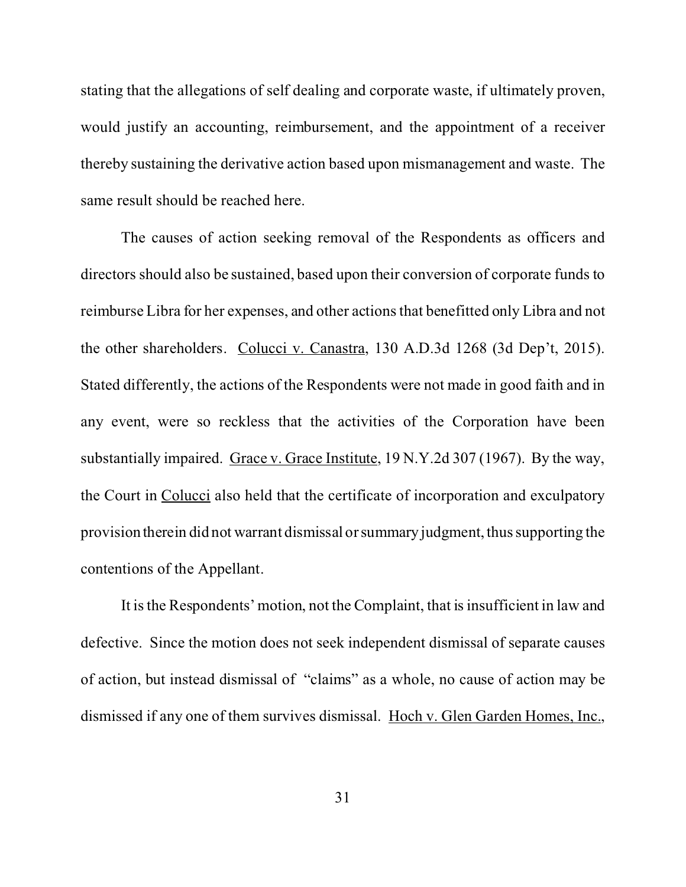stating that the allegations of self dealing and corporate waste, if ultimately proven, would justify an accounting, reimbursement, and the appointment of a receiver thereby sustaining the derivative action based upon mismanagement and waste. The same result should be reached here.

The causes of action seeking removal of the Respondents as officers and directors should also be sustained, based upon their conversion of corporate funds to reimburse Libra for her expenses, and other actions that benefitted only Libra and not the other shareholders. Colucci v. Canastra, 130 A.D.3d 1268 (3d Dep't, 2015). Stated differently, the actions of the Respondents were not made in good faith and in any event, were so reckless that the activities of the Corporation have been substantially impaired. Grace v. Grace Institute, 19 N.Y.2d 307 (1967). By the way, the Court in Colucci also held that the certificate of incorporation and exculpatory provision therein did not warrant dismissal or summary judgment, thus supporting the contentions of the Appellant.

It is the Respondents' motion, not the Complaint, that is insufficient in law and defective. Since the motion does not seek independent dismissal of separate causes of action, but instead dismissal of "claims" as a whole, no cause of action may be dismissed if any one of them survives dismissal. Hoch v. Glen Garden Homes, Inc.,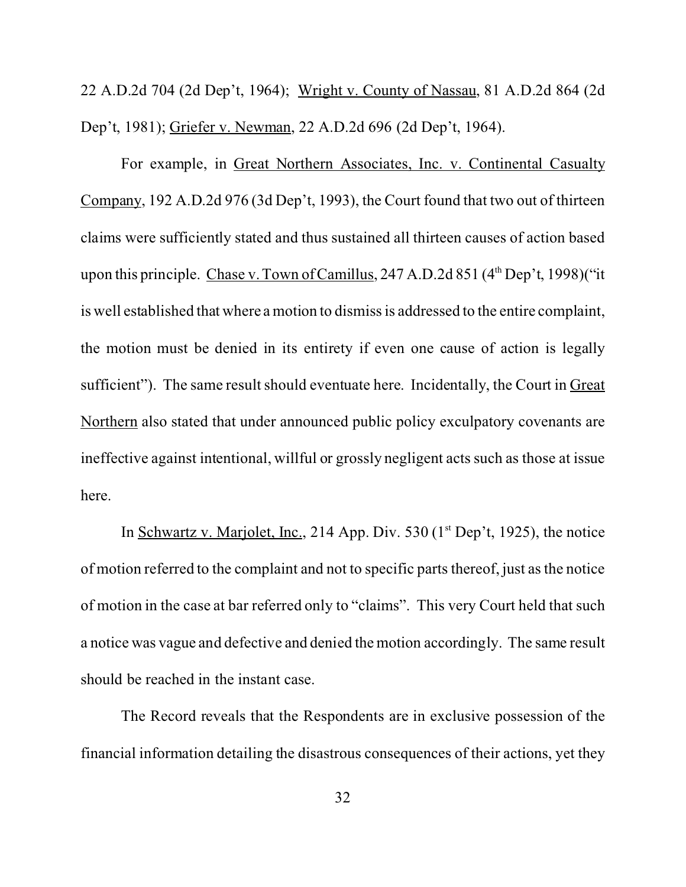22 A.D.2d 704 (2d Dep't, 1964); Wright v. County of Nassau, 81 A.D.2d 864 (2d Dep't, 1981); Griefer v. Newman, 22 A.D.2d 696 (2d Dep't, 1964).

For example, in Great Northern Associates, Inc. v. Continental Casualty Company, 192 A.D.2d 976 (3d Dep't, 1993), the Court found that two out of thirteen claims were sufficiently stated and thus sustained all thirteen causes of action based upon this principle. Chase v. Town of Camillus, 247 A.D.2d 851  $(4<sup>th</sup>$  Dep't, 1998)("it is well established that where a motion to dismiss is addressed to the entire complaint, the motion must be denied in its entirety if even one cause of action is legally sufficient"). The same result should eventuate here. Incidentally, the Court in Great Northern also stated that under announced public policy exculpatory covenants are ineffective against intentional, willful or grossly negligent acts such as those at issue here.

In Schwartz v. Marjolet, Inc., 214 App. Div. 530 ( $1<sup>st</sup>$  Dep't, 1925), the notice of motion referred to the complaint and not to specific parts thereof, just as the notice of motion in the case at bar referred only to "claims". This very Court held that such a notice was vague and defective and denied the motion accordingly. The same result should be reached in the instant case.

The Record reveals that the Respondents are in exclusive possession of the financial information detailing the disastrous consequences of their actions, yet they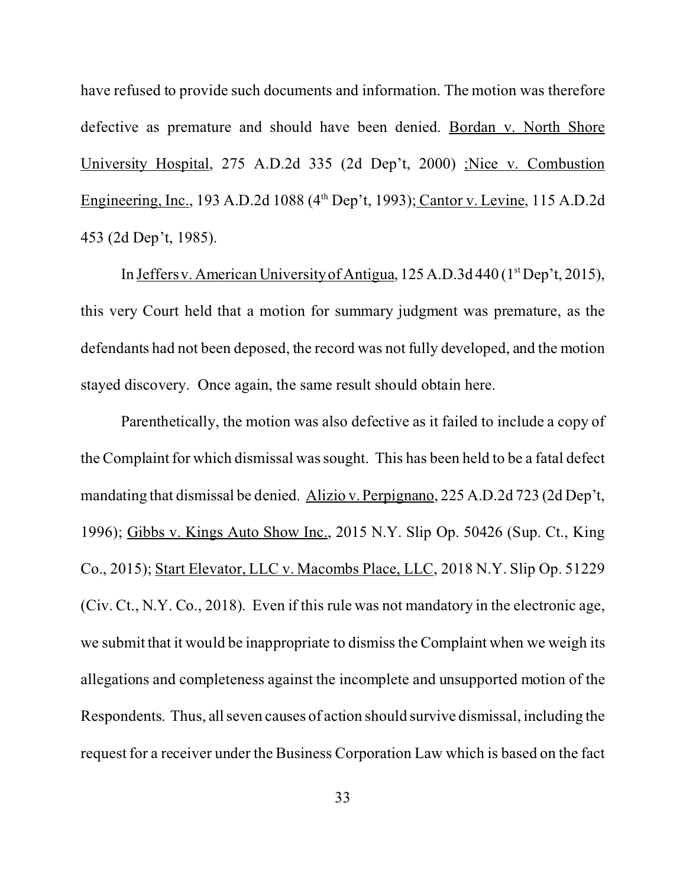have refused to provide such documents and information. The motion was therefore defective as premature and should have been denied. Bordan v. North Shore University Hospital, 275 A.D.2d 335 (2d Dep't, 2000) ;Nice v. Combustion Engineering, Inc., 193 A.D.2d 1088 (4<sup>th</sup> Dep't, 1993); Cantor v. Levine, 115 A.D.2d 453 (2d Dep't, 1985).

In Jeffers v. American University of Antigua,  $125$  A.D.3d 440 ( $1<sup>st</sup>$  Dep't, 2015), this very Court held that a motion for summary judgment was premature, as the defendants had not been deposed, the record was not fully developed, and the motion stayed discovery. Once again, the same result should obtain here.

Parenthetically, the motion was also defective as it failed to include a copy of the Complaint for which dismissal was sought. This has been held to be a fatal defect mandating that dismissal be denied. Alizio v. Perpignano, 225 A.D.2d 723 (2d Dep't, 1996); Gibbs v. Kings Auto Show Inc., 2015 N.Y. Slip Op. 50426 (Sup. Ct., King Co., 2015); Start Elevator, LLC v. Macombs Place, LLC, 2018 N.Y. Slip Op. 51229 (Civ. Ct., N.Y. Co., 2018). Even if this rule was not mandatory in the electronic age, we submit that it would be inappropriate to dismiss the Complaint when we weigh its allegations and completeness against the incomplete and unsupported motion of the Respondents. Thus, all seven causes of action should survive dismissal, including the request for a receiver under the Business Corporation Law which is based on the fact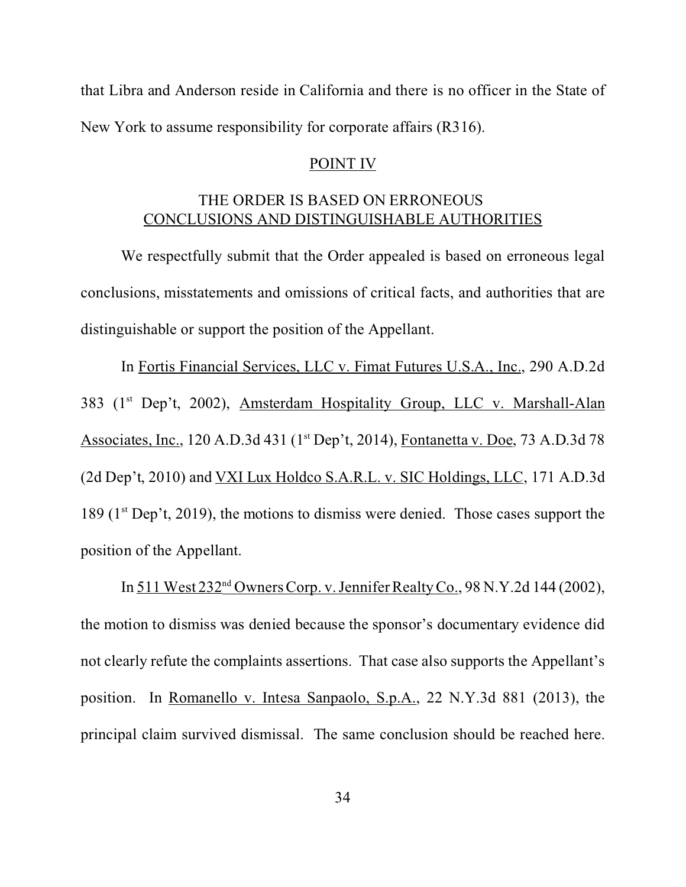<span id="page-43-0"></span>that Libra and Anderson reside in California and there is no officer in the State of New York to assume responsibility for corporate affairs (R316).

#### POINT IV

# THE ORDER IS BASED ON ERRONEOUS CONCLUSIONS AND DISTINGUISHABLE AUTHORITIES

We respectfully submit that the Order appealed is based on erroneous legal conclusions, misstatements and omissions of critical facts, and authorities that are distinguishable or support the position of the Appellant.

In Fortis Financial Services, LLC v. Fimat Futures U.S.A., Inc., 290 A.D.2d 383 (1<sup>st</sup> Dep't, 2002), Amsterdam Hospitality Group, LLC v. Marshall-Alan Associates, Inc., 120 A.D.3d 431 (1<sup>st</sup> Dep't, 2014), Fontanetta v. Doe, 73 A.D.3d 78 (2d Dep't, 2010) and VXI Lux Holdco S.A.R.L. v. SIC Holdings, LLC, 171 A.D.3d 189 (1st Dep't, 2019), the motions to dismiss were denied. Those cases support the position of the Appellant.

In 511 West 232nd Owners Corp. v. Jennifer Realty Co., 98 N.Y.2d 144 (2002), the motion to dismiss was denied because the sponsor's documentary evidence did not clearly refute the complaints assertions. That case also supports the Appellant's position. In Romanello v. Intesa Sanpaolo, S.p.A., 22 N.Y.3d 881 (2013), the principal claim survived dismissal. The same conclusion should be reached here.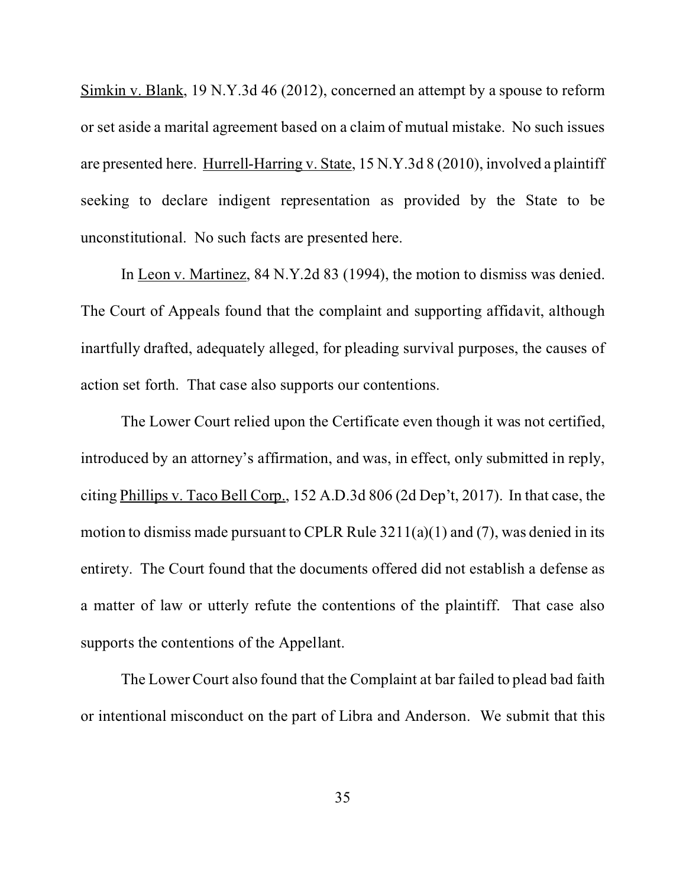Simkin v. Blank, 19 N.Y.3d 46 (2012), concerned an attempt by a spouse to reform or set aside a marital agreement based on a claim of mutual mistake. No such issues are presented here. Hurrell-Harring v. State, 15 N.Y.3d 8 (2010), involved a plaintiff seeking to declare indigent representation as provided by the State to be unconstitutional. No such facts are presented here.

In Leon v. Martinez, 84 N.Y.2d 83 (1994), the motion to dismiss was denied. The Court of Appeals found that the complaint and supporting affidavit, although inartfully drafted, adequately alleged, for pleading survival purposes, the causes of action set forth. That case also supports our contentions.

The Lower Court relied upon the Certificate even though it was not certified, introduced by an attorney's affirmation, and was, in effect, only submitted in reply, citing Phillips v. Taco Bell Corp., 152 A.D.3d 806 (2d Dep't, 2017). In that case, the motion to dismiss made pursuant to CPLR Rule 3211(a)(1) and (7), was denied in its entirety. The Court found that the documents offered did not establish a defense as a matter of law or utterly refute the contentions of the plaintiff. That case also supports the contentions of the Appellant.

The Lower Court also found that the Complaint at bar failed to plead bad faith or intentional misconduct on the part of Libra and Anderson. We submit that this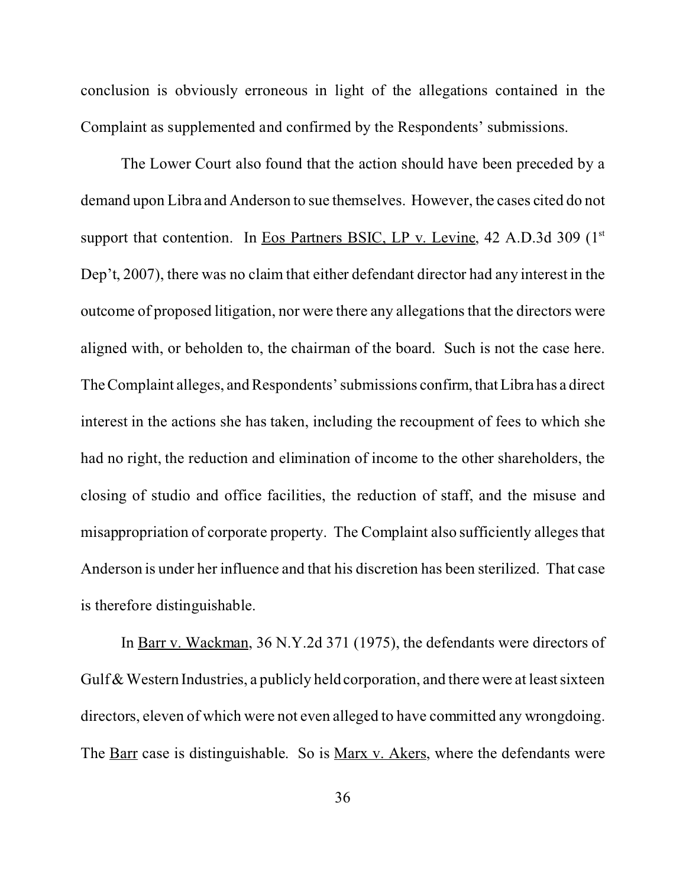conclusion is obviously erroneous in light of the allegations contained in the Complaint as supplemented and confirmed by the Respondents' submissions.

The Lower Court also found that the action should have been preceded by a demand upon Libra and Anderson to sue themselves. However, the cases cited do not support that contention. In Eos Partners BSIC, LP v. Levine, 42 A.D.3d 309  $(1<sup>st</sup>$ Dep't, 2007), there was no claim that either defendant director had any interest in the outcome of proposed litigation, nor were there any allegations that the directors were aligned with, or beholden to, the chairman of the board. Such is not the case here. The Complaint alleges, and Respondents' submissions confirm, thatLibra has a direct interest in the actions she has taken, including the recoupment of fees to which she had no right, the reduction and elimination of income to the other shareholders, the closing of studio and office facilities, the reduction of staff, and the misuse and misappropriation of corporate property. The Complaint also sufficiently alleges that Anderson is under her influence and that his discretion has been sterilized. That case is therefore distinguishable.

In Barr v. Wackman, 36 N.Y.2d 371 (1975), the defendants were directors of Gulf & Western Industries, a publicly held corporation, and there were at least sixteen directors, eleven of which were not even alleged to have committed any wrongdoing. The <u>Barr</u> case is distinguishable. So is <u>Marx v. Akers</u>, where the defendants were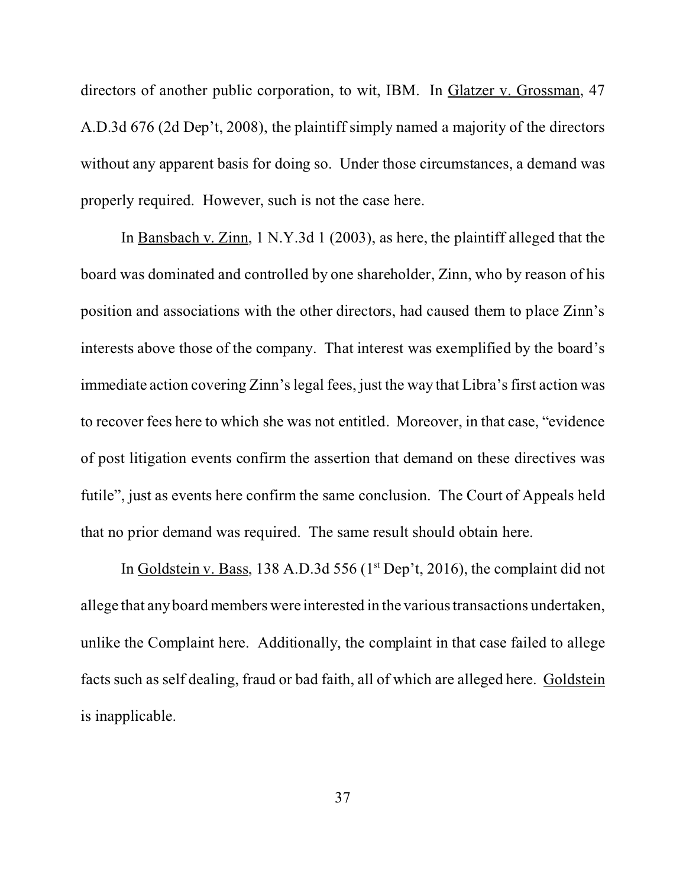directors of another public corporation, to wit, IBM. In Glatzer v. Grossman, 47 A.D.3d 676 (2d Dep't, 2008), the plaintiff simply named a majority of the directors without any apparent basis for doing so. Under those circumstances, a demand was properly required. However, such is not the case here.

In Bansbach v. Zinn, 1 N.Y.3d 1 (2003), as here, the plaintiff alleged that the board was dominated and controlled by one shareholder, Zinn, who by reason of his position and associations with the other directors, had caused them to place Zinn's interests above those of the company. That interest was exemplified by the board's immediate action covering Zinn's legal fees, just the way that Libra's first action was to recover fees here to which she was not entitled. Moreover, in that case, "evidence of post litigation events confirm the assertion that demand on these directives was futile", just as events here confirm the same conclusion. The Court of Appeals held that no prior demand was required. The same result should obtain here.

In Goldstein v. Bass, 138 A.D.3d 556 ( $1<sup>st</sup>$  Dep't, 2016), the complaint did not allege that any board members were interested in the various transactions undertaken, unlike the Complaint here. Additionally, the complaint in that case failed to allege facts such as self dealing, fraud or bad faith, all of which are alleged here. Goldstein is inapplicable.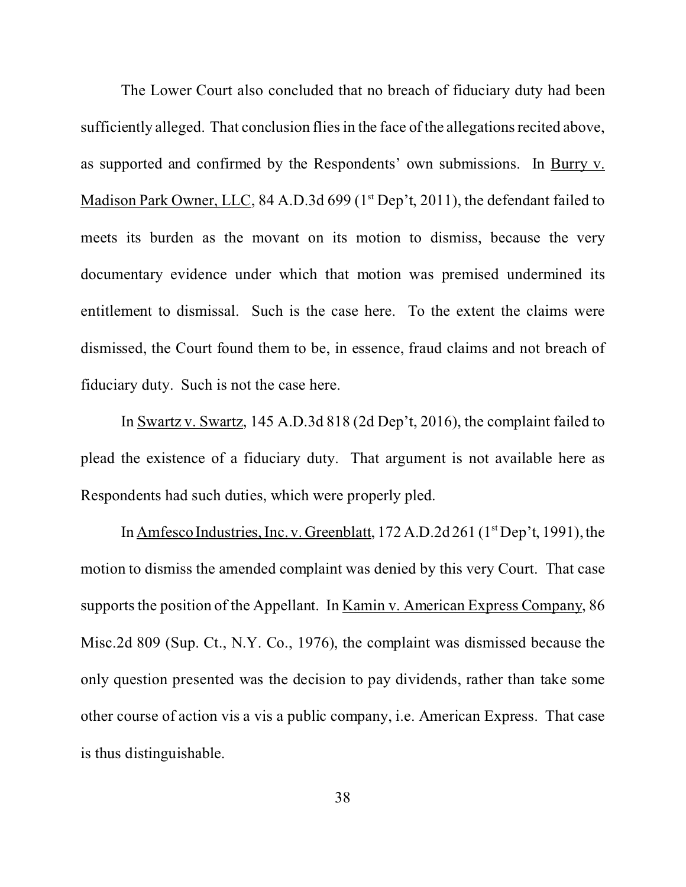The Lower Court also concluded that no breach of fiduciary duty had been sufficiently alleged. That conclusion flies in the face of the allegations recited above, as supported and confirmed by the Respondents' own submissions. In Burry v. Madison Park Owner, LLC, 84 A.D.3d 699 (1<sup>st</sup> Dep't, 2011), the defendant failed to meets its burden as the movant on its motion to dismiss, because the very documentary evidence under which that motion was premised undermined its entitlement to dismissal. Such is the case here. To the extent the claims were dismissed, the Court found them to be, in essence, fraud claims and not breach of fiduciary duty. Such is not the case here.

In Swartz v. Swartz, 145 A.D.3d 818 (2d Dep't, 2016), the complaint failed to plead the existence of a fiduciary duty. That argument is not available here as Respondents had such duties, which were properly pled.

In Amfesco Industries, Inc. v. Greenblatt,  $172$  A.D.2d  $261$  ( $1<sup>st</sup>$  Dep't, 1991), the motion to dismiss the amended complaint was denied by this very Court. That case supports the position of the Appellant. In Kamin v. American Express Company, 86 Misc.2d 809 (Sup. Ct., N.Y. Co., 1976), the complaint was dismissed because the only question presented was the decision to pay dividends, rather than take some other course of action vis a vis a public company, i.e. American Express. That case is thus distinguishable.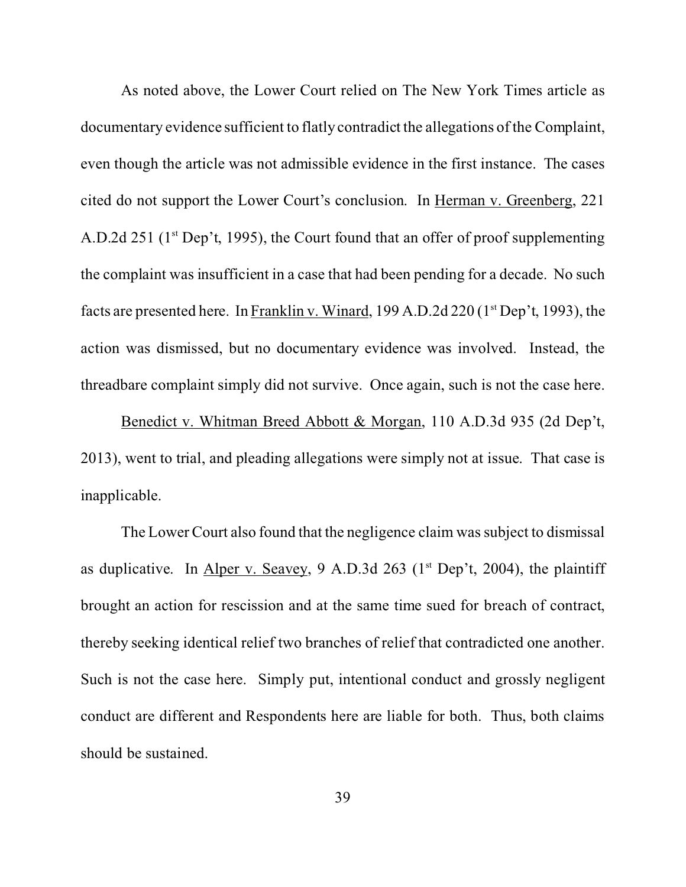As noted above, the Lower Court relied on The New York Times article as documentary evidence sufficient to flatly contradict the allegations of the Complaint, even though the article was not admissible evidence in the first instance. The cases cited do not support the Lower Court's conclusion. In Herman v. Greenberg, 221 A.D.2d 251 ( $1<sup>st</sup>$  Dep't, 1995), the Court found that an offer of proof supplementing the complaint was insufficient in a case that had been pending for a decade. No such facts are presented here. In Franklin v. Winard, 199 A.D.2d 220 (1st Dep't, 1993), the action was dismissed, but no documentary evidence was involved. Instead, the threadbare complaint simply did not survive. Once again, such is not the case here.

Benedict v. Whitman Breed Abbott & Morgan, 110 A.D.3d 935 (2d Dep't, 2013), went to trial, and pleading allegations were simply not at issue. That case is inapplicable.

The Lower Court also found that the negligence claim was subject to dismissal as duplicative. In Alper v. Seavey, 9 A.D.3d 263 ( $1<sup>st</sup>$  Dep't, 2004), the plaintiff brought an action for rescission and at the same time sued for breach of contract, thereby seeking identical relief two branches of relief that contradicted one another. Such is not the case here. Simply put, intentional conduct and grossly negligent conduct are different and Respondents here are liable for both. Thus, both claims should be sustained.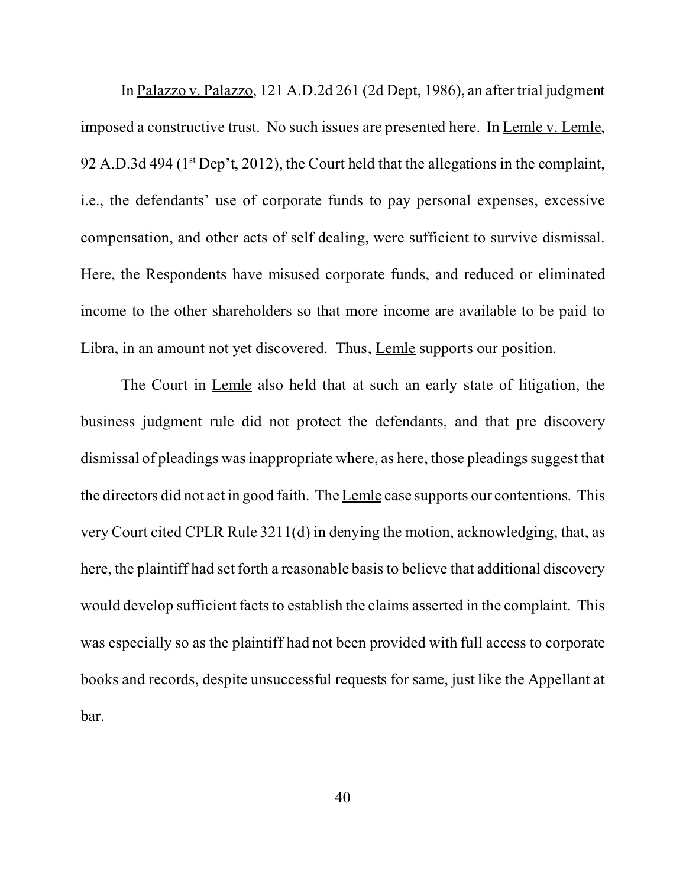In Palazzo v. Palazzo, 121 A.D.2d 261 (2d Dept, 1986), an after trial judgment imposed a constructive trust. No such issues are presented here. In Lemle v. Lemle, 92 A.D.3d 494 ( $1<sup>st</sup>$  Dep't, 2012), the Court held that the allegations in the complaint, i.e., the defendants' use of corporate funds to pay personal expenses, excessive compensation, and other acts of self dealing, were sufficient to survive dismissal. Here, the Respondents have misused corporate funds, and reduced or eliminated income to the other shareholders so that more income are available to be paid to Libra, in an amount not yet discovered. Thus, Lemle supports our position.

The Court in Lemle also held that at such an early state of litigation, the business judgment rule did not protect the defendants, and that pre discovery dismissal of pleadings was inappropriate where, as here, those pleadings suggest that the directors did not act in good faith. The Lemle case supports our contentions. This very Court cited CPLR Rule 3211(d) in denying the motion, acknowledging, that, as here, the plaintiff had set forth a reasonable basis to believe that additional discovery would develop sufficient facts to establish the claims asserted in the complaint. This was especially so as the plaintiff had not been provided with full access to corporate books and records, despite unsuccessful requests for same, just like the Appellant at bar.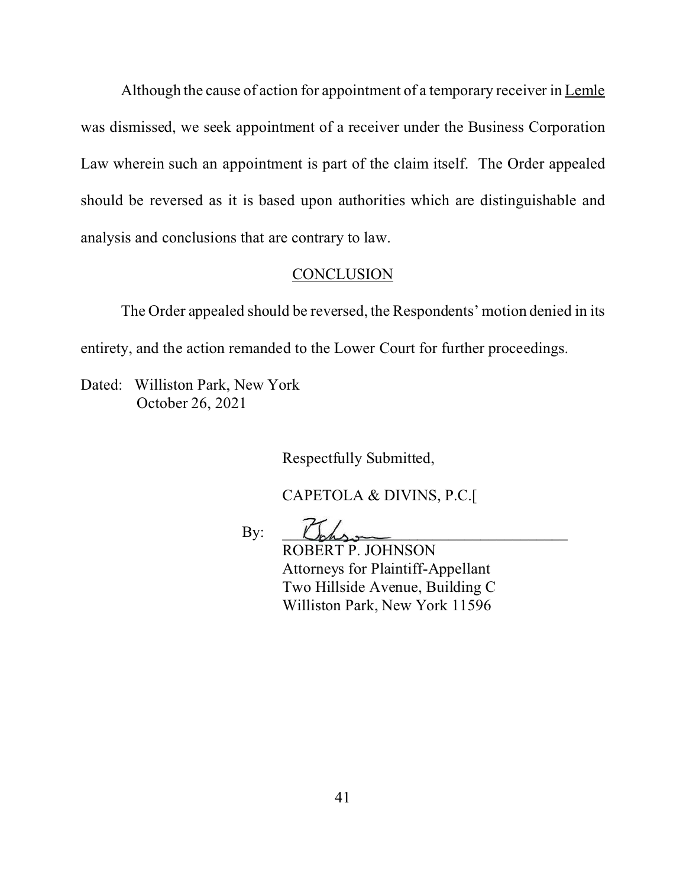<span id="page-50-0"></span>Although the cause of action for appointment of a temporary receiver in Lemle was dismissed, we seek appointment of a receiver under the Business Corporation Law wherein such an appointment is part of the claim itself. The Order appealed should be reversed as it is based upon authorities which are distinguishable and analysis and conclusions that are contrary to law.

#### CONCLUSION

The Order appealed should be reversed, the Respondents' motion denied in its entirety, and the action remanded to the Lower Court for further proceedings.

Dated: Williston Park, New York October 26, 2021

Respectfully Submitted,

CAPETOLA & DIVINS, P.C.[

 $By: \quad \Box$ 

ROBERT P. JOHNSON Attorneys for Plaintiff-Appellant Two Hillside Avenue, Building C Williston Park, New York 11596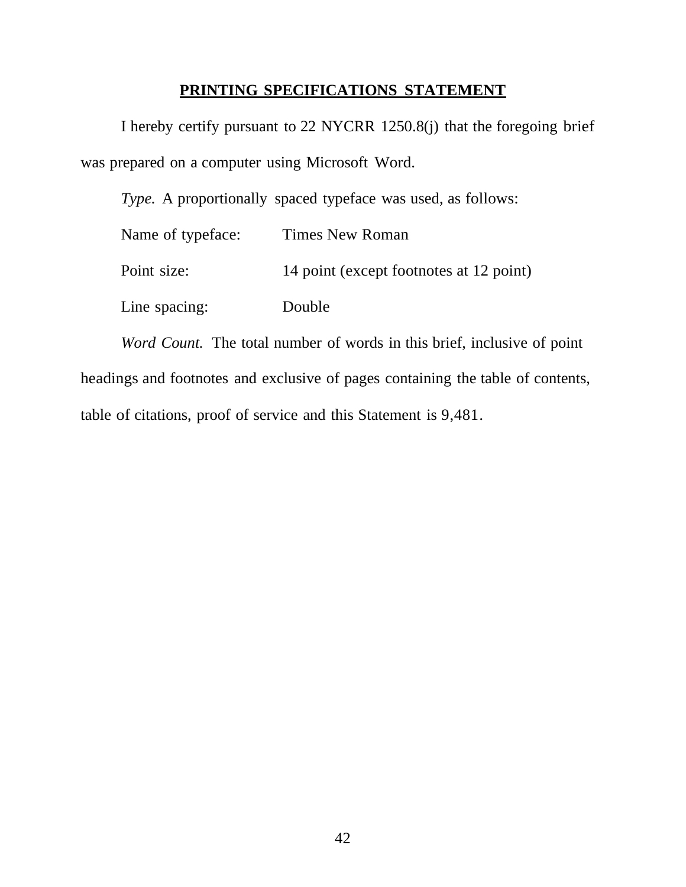# **PRINTING SPECIFICATIONS STATEMENT**

<span id="page-51-0"></span>I hereby certify pursuant to 22 NYCRR 1250.8(j) that the foregoing brief was prepared on a computer using Microsoft Word.

*Type.* A proportionally spaced typeface was used, as follows:

| Name of typeface: | Times New Roman                         |
|-------------------|-----------------------------------------|
| Point size:       | 14 point (except footnotes at 12 point) |
| Line spacing:     | Double                                  |

*Word Count.* The total number of words in this brief, inclusive of point headings and footnotes and exclusive of pages containing the table of contents, table of citations, proof of service and this Statement is 9,481.